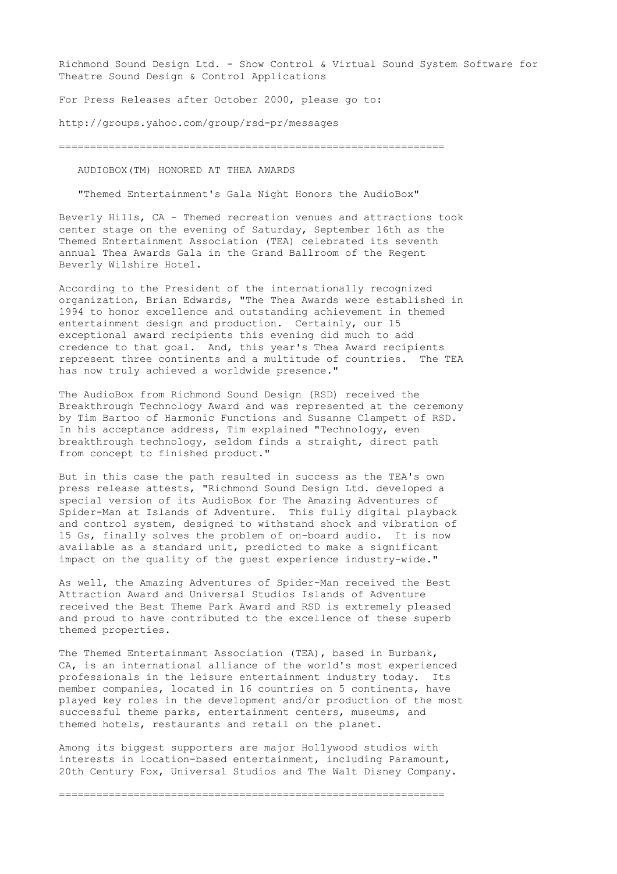Richmond Sound Design Ltd. - Show Control & Virtual Sound System Software for Theatre Sound Design & Control Applications

For Press Releases after October 2000, please go to:

http://groups.yahoo.com/group/rsd-pr/messages

==============================================================

AUDIOBOX(TM) HONORED AT THEA AWARDS

"Themed Entertainment's Gala Night Honors the AudioBox"

Beverly Hills, CA - Themed recreation venues and attractions took center stage on the evening of Saturday, September 16th as the Themed Entertainment Association (TEA) celebrated its seventh annual Thea Awards Gala in the Grand Ballroom of the Regent Beverly Wilshire Hotel.

According to the President of the internationally recognized organization, Brian Edwards, "The Thea Awards were established in 1994 to honor excellence and outstanding achievement in themed entertainment design and production. Certainly, our 15 exceptional award recipients this evening did much to add credence to that goal. And, this year's Thea Award recipients represent three continents and a multitude of countries. The TEA has now truly achieved a worldwide presence."

The AudioBox from Richmond Sound Design (RSD) received the Breakthrough Technology Award and was represented at the ceremony by Tim Bartoo of Harmonic Functions and Susanne Clampett of RSD. In his acceptance address, Tim explained "Technology, even breakthrough technology, seldom finds a straight, direct path from concept to finished product."

But in this case the path resulted in success as the TEA's own press release attests, "Richmond Sound Design Ltd. developed a special version of its AudioBox for The Amazing Adventures of Spider-Man at Islands of Adventure. This fully digital playback and control system, designed to withstand shock and vibration of 15 Gs, finally solves the problem of on-board audio. It is now available as a standard unit, predicted to make a significant impact on the quality of the guest experience industry-wide."

As well, the Amazing Adventures of Spider-Man received the Best Attraction Award and Universal Studios Islands of Adventure received the Best Theme Park Award and RSD is extremely pleased and proud to have contributed to the excellence of these superb themed properties.

The Themed Entertainmant Association (TEA), based in Burbank, CA, is an international alliance of the world's most experienced professionals in the leisure entertainment industry today. Its member companies, located in 16 countries on 5 continents, have played key roles in the development and/or production of the most successful theme parks, entertainment centers, museums, and themed hotels, restaurants and retail on the planet.

Among its biggest supporters are major Hollywood studios with interests in location-based entertainment, including Paramount, 20th Century Fox, Universal Studios and The Walt Disney Company.

==============================================================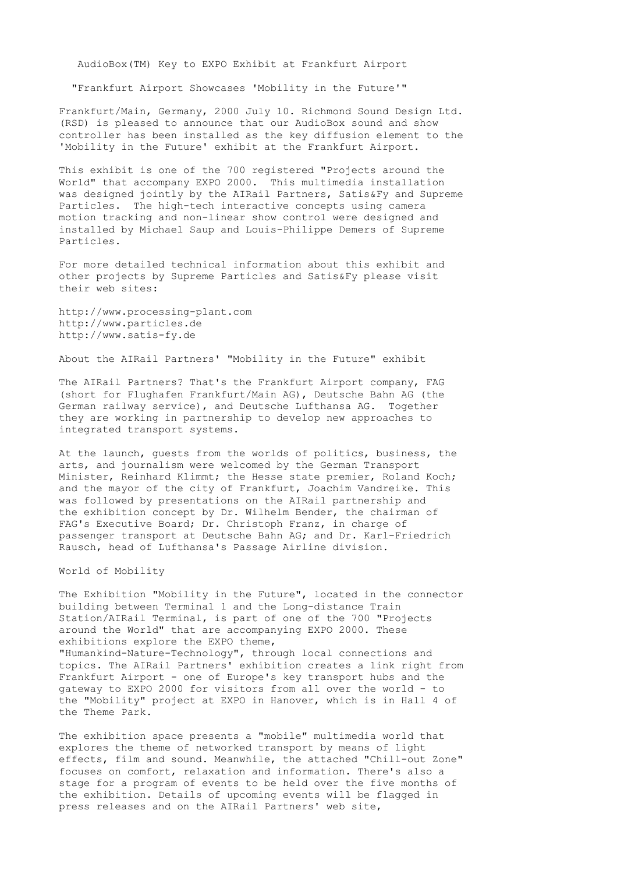AudioBox(TM) Key to EXPO Exhibit at Frankfurt Airport

"Frankfurt Airport Showcases 'Mobility in the Future'"

Frankfurt/Main, Germany, 2000 July 10. Richmond Sound Design Ltd. (RSD) is pleased to announce that our AudioBox sound and show controller has been installed as the key diffusion element to the 'Mobility in the Future' exhibit at the Frankfurt Airport.

This exhibit is one of the 700 registered "Projects around the World" that accompany EXPO 2000. This multimedia installation was designed jointly by the AIRail Partners, Satis&Fy and Supreme Particles. The high-tech interactive concepts using camera motion tracking and non-linear show control were designed and installed by Michael Saup and Louis-Philippe Demers of Supreme Particles.

For more detailed technical information about this exhibit and other projects by Supreme Particles and Satis&Fy please visit their web sites:

http://www.processing-plant.com http://www.particles.de http://www.satis-fy.de

About the AIRail Partners' "Mobility in the Future" exhibit

The AIRail Partners? That's the Frankfurt Airport company, FAG (short for Flughafen Frankfurt/Main AG), Deutsche Bahn AG (the German railway service), and Deutsche Lufthansa AG. Together they are working in partnership to develop new approaches to integrated transport systems.

At the launch, guests from the worlds of politics, business, the arts, and journalism were welcomed by the German Transport Minister, Reinhard Klimmt; the Hesse state premier, Roland Koch; and the mayor of the city of Frankfurt, Joachim Vandreike. This was followed by presentations on the AIRail partnership and the exhibition concept by Dr. Wilhelm Bender, the chairman of FAG's Executive Board; Dr. Christoph Franz, in charge of passenger transport at Deutsche Bahn AG; and Dr. Karl-Friedrich Rausch, head of Lufthansa's Passage Airline division.

World of Mobility

The Exhibition "Mobility in the Future", located in the connector building between Terminal 1 and the Long-distance Train Station/AIRail Terminal, is part of one of the 700 "Projects around the World" that are accompanying EXPO 2000. These exhibitions explore the EXPO theme, "Humankind-Nature-Technology", through local connections and topics. The AIRail Partners' exhibition creates a link right from Frankfurt Airport - one of Europe's key transport hubs and the gateway to EXPO 2000 for visitors from all over the world - to the "Mobility" project at EXPO in Hanover, which is in Hall 4 of the Theme Park.

The exhibition space presents a "mobile" multimedia world that explores the theme of networked transport by means of light effects, film and sound. Meanwhile, the attached "Chill-out Zone" focuses on comfort, relaxation and information. There's also a stage for a program of events to be held over the five months of the exhibition. Details of upcoming events will be flagged in press releases and on the AIRail Partners' web site,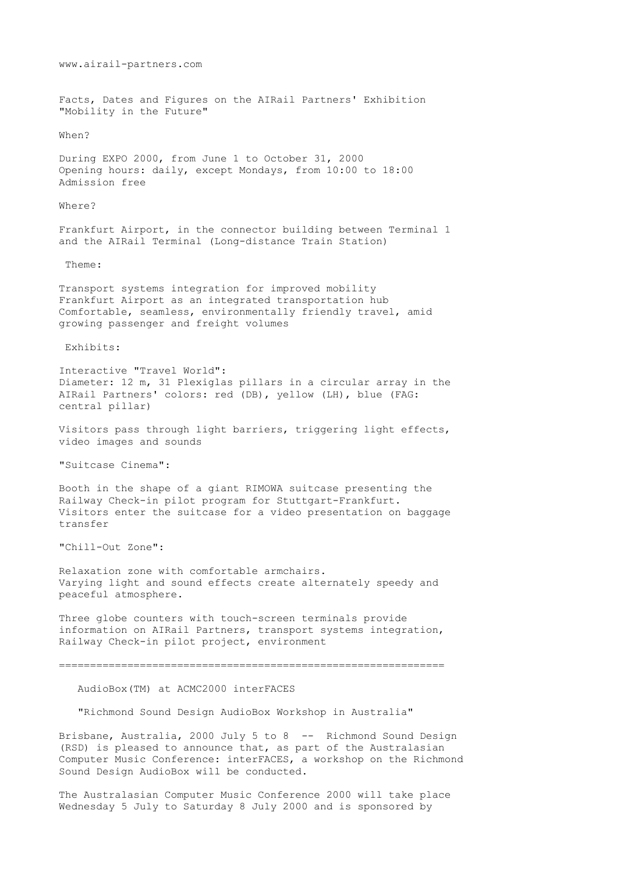www.airail-partners.com Facts, Dates and Figures on the AIRail Partners' Exhibition "Mobility in the Future" When? During EXPO 2000, from June 1 to October 31, 2000 Opening hours: daily, except Mondays, from 10:00 to 18:00 Admission free Where? Frankfurt Airport, in the connector building between Terminal 1 and the AIRail Terminal (Long-distance Train Station) Theme: Transport systems integration for improved mobility Frankfurt Airport as an integrated transportation hub Comfortable, seamless, environmentally friendly travel, amid growing passenger and freight volumes Exhibits: Interactive "Travel World": Diameter: 12 m, 31 Plexiglas pillars in a circular array in the AIRail Partners' colors: red (DB), yellow (LH), blue (FAG: central pillar) Visitors pass through light barriers, triggering light effects, video images and sounds "Suitcase Cinema": Booth in the shape of a giant RIMOWA suitcase presenting the Railway Check-in pilot program for Stuttgart-Frankfurt. Visitors enter the suitcase for a video presentation on baggage transfer "Chill-Out Zone": Relaxation zone with comfortable armchairs. Varying light and sound effects create alternately speedy and peaceful atmosphere. Three globe counters with touch-screen terminals provide information on AIRail Partners, transport systems integration, Railway Check-in pilot project, environment ============================================================== AudioBox(TM) at ACMC2000 interFACES "Richmond Sound Design AudioBox Workshop in Australia" Brisbane, Australia, 2000 July 5 to 8 -- Richmond Sound Design (RSD) is pleased to announce that, as part of the Australasian Computer Music Conference: interFACES, a workshop on the Richmond Sound Design AudioBox will be conducted.

The Australasian Computer Music Conference 2000 will take place Wednesday 5 July to Saturday 8 July 2000 and is sponsored by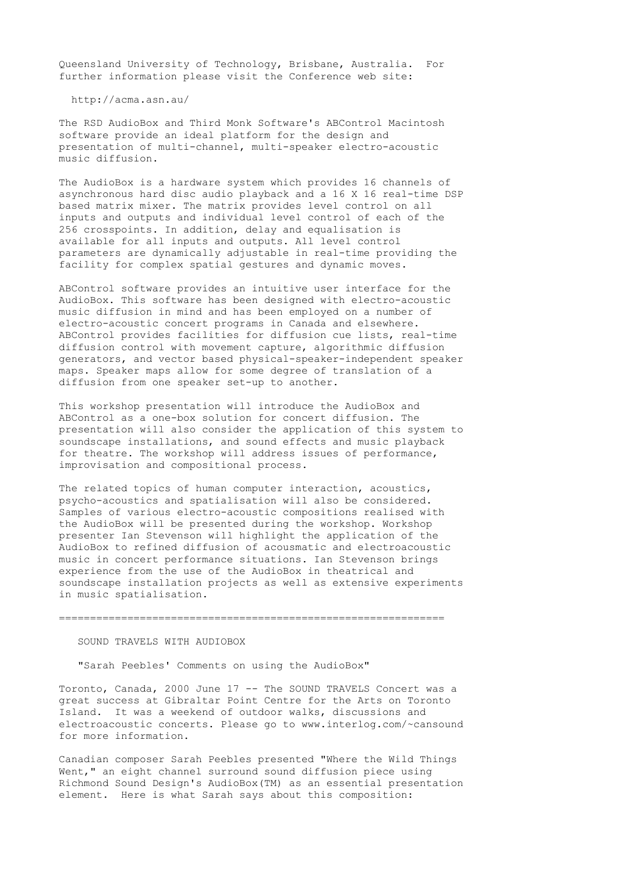Queensland University of Technology, Brisbane, Australia. For further information please visit the Conference web site:

http://acma.asn.au/

The RSD AudioBox and Third Monk Software's ABControl Macintosh software provide an ideal platform for the design and presentation of multi-channel, multi-speaker electro-acoustic music diffusion.

The AudioBox is a hardware system which provides 16 channels of asynchronous hard disc audio playback and a 16 X 16 real-time DSP based matrix mixer. The matrix provides level control on all inputs and outputs and individual level control of each of the 256 crosspoints. In addition, delay and equalisation is available for all inputs and outputs. All level control parameters are dynamically adjustable in real-time providing the facility for complex spatial gestures and dynamic moves.

ABControl software provides an intuitive user interface for the AudioBox. This software has been designed with electro-acoustic music diffusion in mind and has been employed on a number of electro-acoustic concert programs in Canada and elsewhere. ABControl provides facilities for diffusion cue lists, real-time diffusion control with movement capture, algorithmic diffusion generators, and vector based physical-speaker-independent speaker maps. Speaker maps allow for some degree of translation of a diffusion from one speaker set-up to another.

This workshop presentation will introduce the AudioBox and ABControl as a one-box solution for concert diffusion. The presentation will also consider the application of this system to soundscape installations, and sound effects and music playback for theatre. The workshop will address issues of performance, improvisation and compositional process.

The related topics of human computer interaction, acoustics, psycho-acoustics and spatialisation will also be considered. Samples of various electro-acoustic compositions realised with the AudioBox will be presented during the workshop. Workshop presenter Ian Stevenson will highlight the application of the AudioBox to refined diffusion of acousmatic and electroacoustic music in concert performance situations. Ian Stevenson brings experience from the use of the AudioBox in theatrical and soundscape installation projects as well as extensive experiments in music spatialisation.

==============================================================

# SOUND TRAVELS WITH AUDIOBOX

"Sarah Peebles' Comments on using the AudioBox"

Toronto, Canada, 2000 June 17 -- The SOUND TRAVELS Concert was a great success at Gibraltar Point Centre for the Arts on Toronto Island. It was a weekend of outdoor walks, discussions and electroacoustic concerts. Please go to www.interlog.com/~cansound for more information.

Canadian composer Sarah Peebles presented "Where the Wild Things Went," an eight channel surround sound diffusion piece using Richmond Sound Design's AudioBox(TM) as an essential presentation element. Here is what Sarah says about this composition: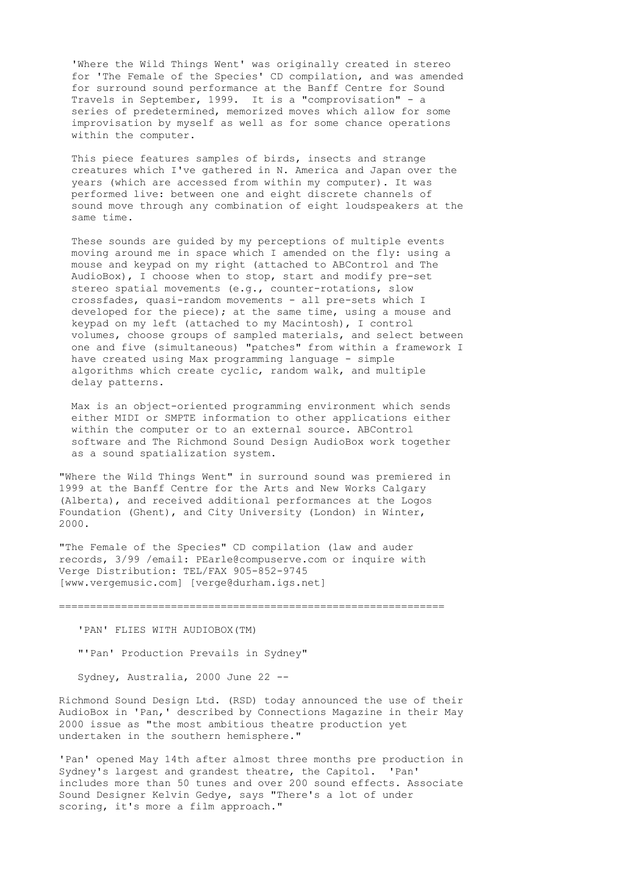'Where the Wild Things Went' was originally created in stereo for 'The Female of the Species' CD compilation, and was amended for surround sound performance at the Banff Centre for Sound Travels in September, 1999. It is a "comprovisation" - a series of predetermined, memorized moves which allow for some improvisation by myself as well as for some chance operations within the computer.

 This piece features samples of birds, insects and strange creatures which I've gathered in N. America and Japan over the years (which are accessed from within my computer). It was performed live: between one and eight discrete channels of sound move through any combination of eight loudspeakers at the same time.

 These sounds are guided by my perceptions of multiple events moving around me in space which I amended on the fly: using a mouse and keypad on my right (attached to ABControl and The AudioBox), I choose when to stop, start and modify pre-set stereo spatial movements (e.g., counter-rotations, slow crossfades, quasi-random movements - all pre-sets which I developed for the piece); at the same time, using a mouse and keypad on my left (attached to my Macintosh), I control volumes, choose groups of sampled materials, and select between one and five (simultaneous) "patches" from within a framework I have created using Max programming language - simple algorithms which create cyclic, random walk, and multiple delay patterns.

 Max is an object-oriented programming environment which sends either MIDI or SMPTE information to other applications either within the computer or to an external source. ABControl software and The Richmond Sound Design AudioBox work together as a sound spatialization system.

"Where the Wild Things Went" in surround sound was premiered in 1999 at the Banff Centre for the Arts and New Works Calgary (Alberta), and received additional performances at the Logos Foundation (Ghent), and City University (London) in Winter, 2000.

"The Female of the Species" CD compilation (law and auder records, 3/99 /email: PEarle@compuserve.com or inquire with Verge Distribution: TEL/FAX 905-852-9745 [www.vergemusic.com] [verge@durham.igs.net]

==============================================================

'PAN' FLIES WITH AUDIOBOX(TM)

"'Pan' Production Prevails in Sydney"

Sydney, Australia, 2000 June 22 --

Richmond Sound Design Ltd. (RSD) today announced the use of their AudioBox in 'Pan,' described by Connections Magazine in their May 2000 issue as "the most ambitious theatre production yet undertaken in the southern hemisphere."

'Pan' opened May 14th after almost three months pre production in Sydney's largest and grandest theatre, the Capitol. 'Pan' includes more than 50 tunes and over 200 sound effects. Associate Sound Designer Kelvin Gedye, says "There's a lot of under scoring, it's more a film approach."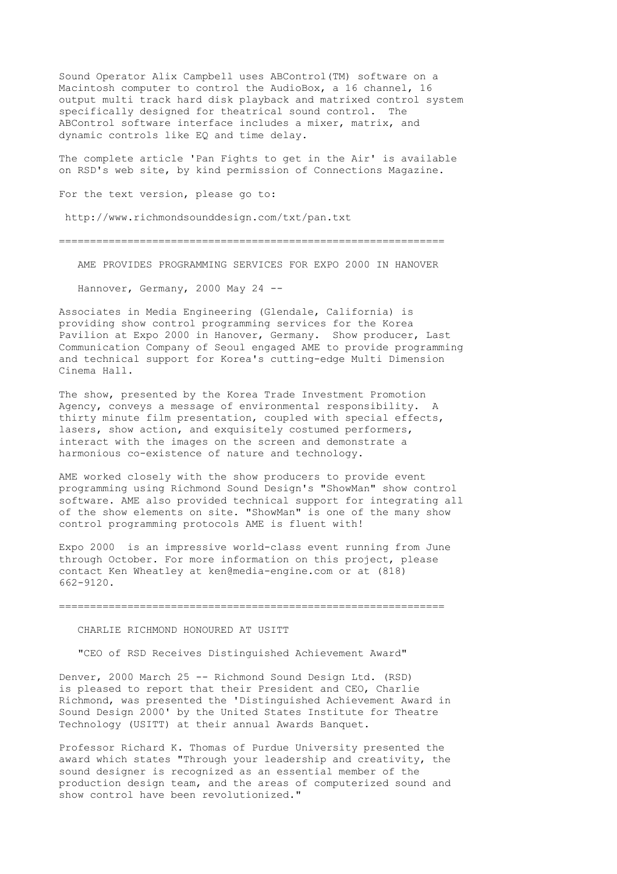Sound Operator Alix Campbell uses ABControl(TM) software on a Macintosh computer to control the AudioBox, a 16 channel, 16 output multi track hard disk playback and matrixed control system specifically designed for theatrical sound control. The ABControl software interface includes a mixer, matrix, and dynamic controls like EQ and time delay.

The complete article 'Pan Fights to get in the Air' is available on RSD's web site, by kind permission of Connections Magazine.

For the text version, please go to:

http://www.richmondsounddesign.com/txt/pan.txt

==============================================================

AME PROVIDES PROGRAMMING SERVICES FOR EXPO 2000 IN HANOVER

Hannover, Germany, 2000 May 24 --

Associates in Media Engineering (Glendale, California) is providing show control programming services for the Korea Pavilion at Expo 2000 in Hanover, Germany. Show producer, Last Communication Company of Seoul engaged AME to provide programming and technical support for Korea's cutting-edge Multi Dimension Cinema Hall.

The show, presented by the Korea Trade Investment Promotion Agency, conveys a message of environmental responsibility. A thirty minute film presentation, coupled with special effects, lasers, show action, and exquisitely costumed performers, interact with the images on the screen and demonstrate a harmonious co-existence of nature and technology.

AME worked closely with the show producers to provide event programming using Richmond Sound Design's "ShowMan" show control software. AME also provided technical support for integrating all of the show elements on site. "ShowMan" is one of the many show control programming protocols AME is fluent with!

Expo 2000 is an impressive world-class event running from June through October. For more information on this project, please contact Ken Wheatley at ken@media-engine.com or at (818) 662-9120.

==============================================================

CHARLIE RICHMOND HONOURED AT USITT

"CEO of RSD Receives Distinguished Achievement Award"

Denver, 2000 March 25 -- Richmond Sound Design Ltd. (RSD) is pleased to report that their President and CEO, Charlie Richmond, was presented the 'Distinguished Achievement Award in Sound Design 2000' by the United States Institute for Theatre Technology (USITT) at their annual Awards Banquet.

Professor Richard K. Thomas of Purdue University presented the award which states "Through your leadership and creativity, the sound designer is recognized as an essential member of the production design team, and the areas of computerized sound and show control have been revolutionized."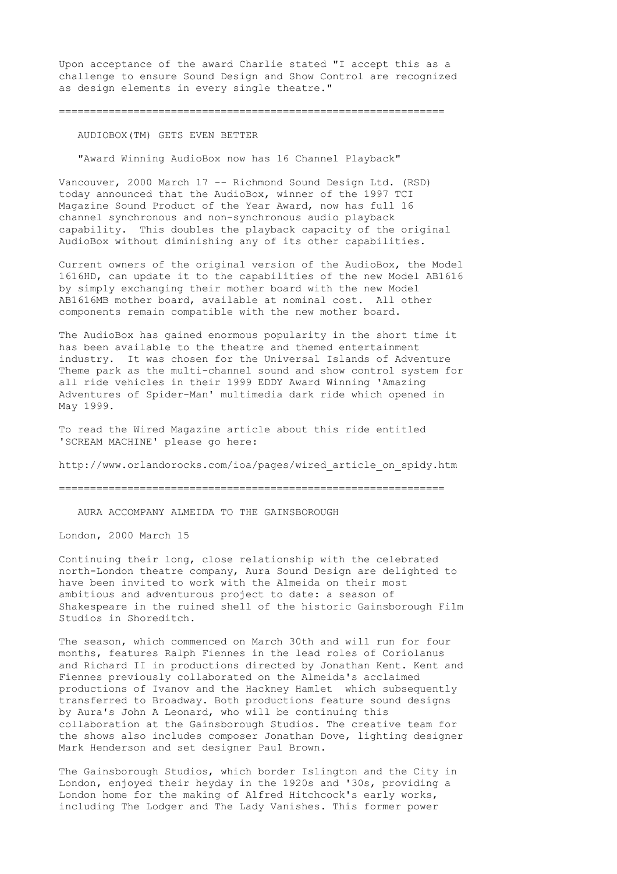Upon acceptance of the award Charlie stated "I accept this as a challenge to ensure Sound Design and Show Control are recognized as design elements in every single theatre."

==============================================================

### AUDIOBOX(TM) GETS EVEN BETTER

"Award Winning AudioBox now has 16 Channel Playback"

Vancouver, 2000 March 17 -- Richmond Sound Design Ltd. (RSD) today announced that the AudioBox, winner of the 1997 TCI Magazine Sound Product of the Year Award, now has full 16 channel synchronous and non-synchronous audio playback capability. This doubles the playback capacity of the original AudioBox without diminishing any of its other capabilities.

Current owners of the original version of the AudioBox, the Model 1616HD, can update it to the capabilities of the new Model AB1616 by simply exchanging their mother board with the new Model AB1616MB mother board, available at nominal cost. All other components remain compatible with the new mother board.

The AudioBox has gained enormous popularity in the short time it has been available to the theatre and themed entertainment industry. It was chosen for the Universal Islands of Adventure Theme park as the multi-channel sound and show control system for all ride vehicles in their 1999 EDDY Award Winning 'Amazing Adventures of Spider-Man' multimedia dark ride which opened in May 1999.

To read the Wired Magazine article about this ride entitled 'SCREAM MACHINE' please go here:

http://www.orlandorocks.com/ioa/pages/wired\_article\_on\_spidy.htm

==============================================================

AURA ACCOMPANY ALMEIDA TO THE GAINSBOROUGH

London, 2000 March 15

Continuing their long, close relationship with the celebrated north-London theatre company, Aura Sound Design are delighted to have been invited to work with the Almeida on their most ambitious and adventurous project to date: a season of Shakespeare in the ruined shell of the historic Gainsborough Film Studios in Shoreditch.

The season, which commenced on March 30th and will run for four months, features Ralph Fiennes in the lead roles of Coriolanus and Richard II in productions directed by Jonathan Kent. Kent and Fiennes previously collaborated on the Almeida's acclaimed productions of Ivanov and the Hackney Hamlet which subsequently transferred to Broadway. Both productions feature sound designs by Aura's John A Leonard, who will be continuing this collaboration at the Gainsborough Studios. The creative team for the shows also includes composer Jonathan Dove, lighting designer Mark Henderson and set designer Paul Brown.

The Gainsborough Studios, which border Islington and the City in London, enjoyed their heyday in the 1920s and '30s, providing a London home for the making of Alfred Hitchcock's early works, including The Lodger and The Lady Vanishes. This former power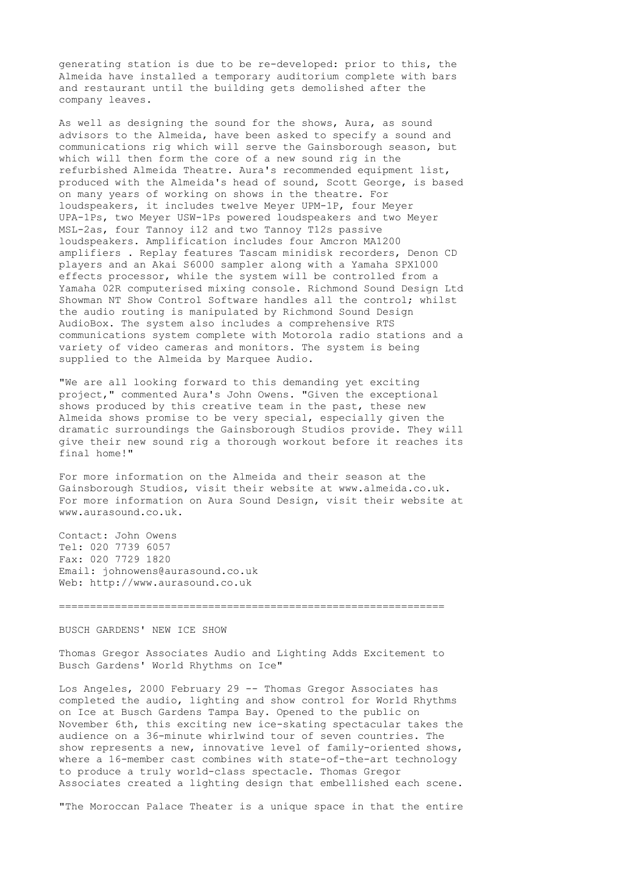generating station is due to be re-developed: prior to this, the Almeida have installed a temporary auditorium complete with bars and restaurant until the building gets demolished after the company leaves.

As well as designing the sound for the shows, Aura, as sound advisors to the Almeida, have been asked to specify a sound and communications rig which will serve the Gainsborough season, but which will then form the core of a new sound rig in the refurbished Almeida Theatre. Aura's recommended equipment list, produced with the Almeida's head of sound, Scott George, is based on many years of working on shows in the theatre. For loudspeakers, it includes twelve Meyer UPM-1P, four Meyer UPA-1Ps, two Meyer USW-1Ps powered loudspeakers and two Meyer MSL-2as, four Tannoy i12 and two Tannoy T12s passive loudspeakers. Amplification includes four Amcron MA1200 amplifiers . Replay features Tascam minidisk recorders, Denon CD players and an Akai S6000 sampler along with a Yamaha SPX1000 effects processor, while the system will be controlled from a Yamaha 02R computerised mixing console. Richmond Sound Design Ltd Showman NT Show Control Software handles all the control; whilst the audio routing is manipulated by Richmond Sound Design AudioBox. The system also includes a comprehensive RTS communications system complete with Motorola radio stations and a variety of video cameras and monitors. The system is being supplied to the Almeida by Marquee Audio.

"We are all looking forward to this demanding yet exciting project," commented Aura's John Owens. "Given the exceptional shows produced by this creative team in the past, these new Almeida shows promise to be very special, especially given the dramatic surroundings the Gainsborough Studios provide. They will give their new sound rig a thorough workout before it reaches its final home!"

For more information on the Almeida and their season at the Gainsborough Studios, visit their website at www.almeida.co.uk. For more information on Aura Sound Design, visit their website at www.aurasound.co.uk.

Contact: John Owens Tel: 020 7739 6057 Fax: 020 7729 1820 Email: johnowens@aurasound.co.uk Web: http://www.aurasound.co.uk

==============================================================

## BUSCH GARDENS' NEW ICE SHOW

Thomas Gregor Associates Audio and Lighting Adds Excitement to Busch Gardens' World Rhythms on Ice"

Los Angeles, 2000 February 29 -- Thomas Gregor Associates has completed the audio, lighting and show control for World Rhythms on Ice at Busch Gardens Tampa Bay. Opened to the public on November 6th, this exciting new ice-skating spectacular takes the audience on a 36-minute whirlwind tour of seven countries. The show represents a new, innovative level of family-oriented shows, where a 16-member cast combines with state-of-the-art technology to produce a truly world-class spectacle. Thomas Gregor Associates created a lighting design that embellished each scene.

"The Moroccan Palace Theater is a unique space in that the entire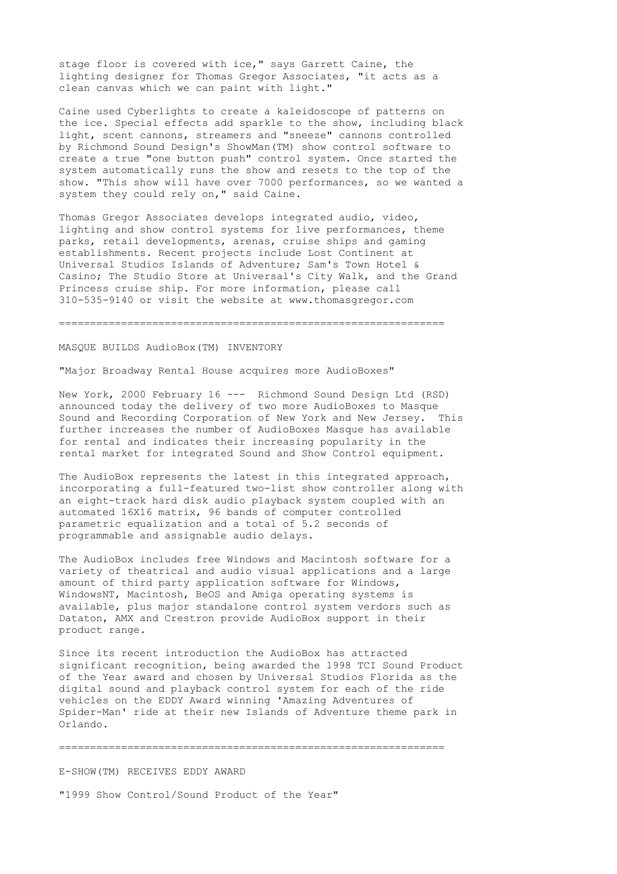stage floor is covered with ice," says Garrett Caine, the lighting designer for Thomas Gregor Associates, "it acts as a clean canvas which we can paint with light."

Caine used Cyberlights to create a kaleidoscope of patterns on the ice. Special effects add sparkle to the show, including black light, scent cannons, streamers and "sneeze" cannons controlled by Richmond Sound Design's ShowMan(TM) show control software to create a true "one button push" control system. Once started the system automatically runs the show and resets to the top of the show. "This show will have over 7000 performances, so we wanted a system they could rely on," said Caine.

Thomas Gregor Associates develops integrated audio, video, lighting and show control systems for live performances, theme parks, retail developments, arenas, cruise ships and gaming establishments. Recent projects include Lost Continent at Universal Studios Islands of Adventure; Sam's Town Hotel & Casino; The Studio Store at Universal's City Walk, and the Grand Princess cruise ship. For more information, please call 310-535-9140 or visit the website at www.thomasgregor.com

#### ==============================================================

MASQUE BUILDS AudioBox(TM) INVENTORY

"Major Broadway Rental House acquires more AudioBoxes"

New York, 2000 February 16 --- Richmond Sound Design Ltd (RSD) announced today the delivery of two more AudioBoxes to Masque Sound and Recording Corporation of New York and New Jersey. This further increases the number of AudioBoxes Masque has available for rental and indicates their increasing popularity in the rental market for integrated Sound and Show Control equipment.

The AudioBox represents the latest in this integrated approach, incorporating a full-featured two-list show controller along with an eight-track hard disk audio playback system coupled with an automated 16X16 matrix, 96 bands of computer controlled parametric equalization and a total of 5.2 seconds of programmable and assignable audio delays.

The AudioBox includes free Windows and Macintosh software for a variety of theatrical and audio visual applications and a large amount of third party application software for Windows, WindowsNT, Macintosh, BeOS and Amiga operating systems is available, plus major standalone control system verdors such as Dataton, AMX and Crestron provide AudioBox support in their product range.

Since its recent introduction the AudioBox has attracted significant recognition, being awarded the 1998 TCI Sound Product of the Year award and chosen by Universal Studios Florida as the digital sound and playback control system for each of the ride vehicles on the EDDY Award winning 'Amazing Adventures of Spider-Man' ride at their new Islands of Adventure theme park in Orlando.

==============================================================

E-SHOW(TM) RECEIVES EDDY AWARD "1999 Show Control/Sound Product of the Year"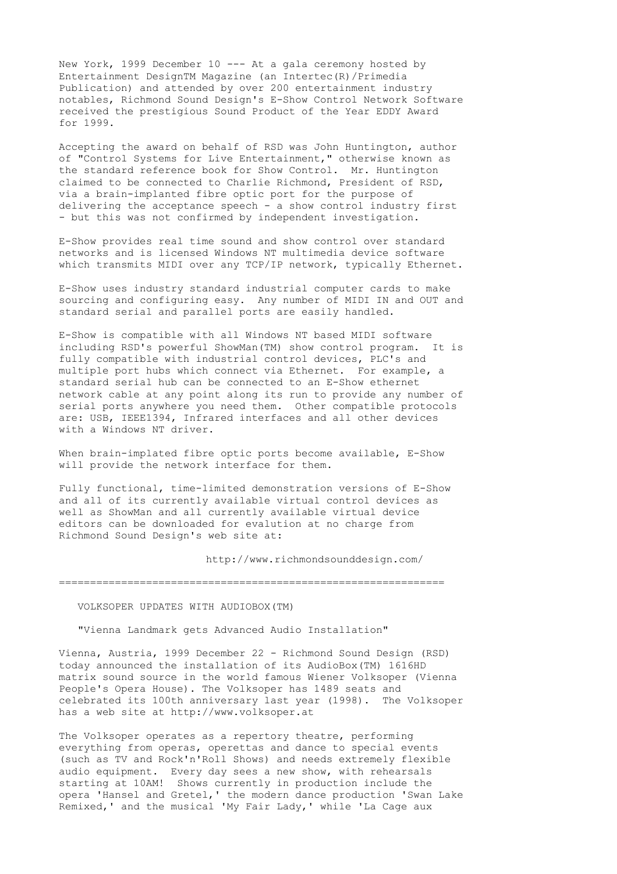New York, 1999 December 10 --- At a gala ceremony hosted by Entertainment DesignTM Magazine (an Intertec(R)/Primedia Publication) and attended by over 200 entertainment industry notables, Richmond Sound Design's E-Show Control Network Software received the prestigious Sound Product of the Year EDDY Award for 1999.

Accepting the award on behalf of RSD was John Huntington, author of "Control Systems for Live Entertainment," otherwise known as the standard reference book for Show Control. Mr. Huntington claimed to be connected to Charlie Richmond, President of RSD, via a brain-implanted fibre optic port for the purpose of delivering the acceptance speech - a show control industry first - but this was not confirmed by independent investigation.

E-Show provides real time sound and show control over standard networks and is licensed Windows NT multimedia device software which transmits MIDI over any TCP/IP network, typically Ethernet.

E-Show uses industry standard industrial computer cards to make sourcing and configuring easy. Any number of MIDI IN and OUT and standard serial and parallel ports are easily handled.

E-Show is compatible with all Windows NT based MIDI software including RSD's powerful ShowMan(TM) show control program. It is fully compatible with industrial control devices, PLC's and multiple port hubs which connect via Ethernet. For example, a standard serial hub can be connected to an E-Show ethernet network cable at any point along its run to provide any number of serial ports anywhere you need them. Other compatible protocols are: USB, IEEE1394, Infrared interfaces and all other devices with a Windows NT driver.

When brain-implated fibre optic ports become available, E-Show will provide the network interface for them.

Fully functional, time-limited demonstration versions of E-Show and all of its currently available virtual control devices as well as ShowMan and all currently available virtual device editors can be downloaded for evalution at no charge from Richmond Sound Design's web site at:

http://www.richmondsounddesign.com/

==============================================================

# VOLKSOPER UPDATES WITH AUDIOBOX(TM)

"Vienna Landmark gets Advanced Audio Installation"

Vienna, Austria, 1999 December 22 - Richmond Sound Design (RSD) today announced the installation of its AudioBox(TM) 1616HD matrix sound source in the world famous Wiener Volksoper (Vienna People's Opera House). The Volksoper has 1489 seats and celebrated its 100th anniversary last year (1998). The Volksoper has a web site at http://www.volksoper.at

The Volksoper operates as a repertory theatre, performing everything from operas, operettas and dance to special events (such as TV and Rock'n'Roll Shows) and needs extremely flexible audio equipment. Every day sees a new show, with rehearsals starting at 10AM! Shows currently in production include the opera 'Hansel and Gretel,' the modern dance production 'Swan Lake Remixed,' and the musical 'My Fair Lady,' while 'La Cage aux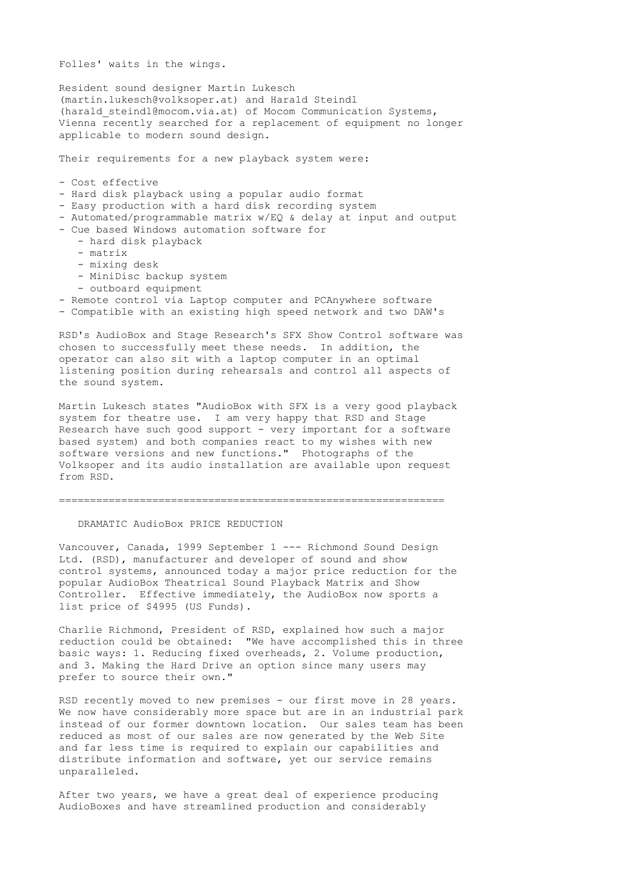Folles' waits in the wings.

Resident sound designer Martin Lukesch (martin.lukesch@volksoper.at) and Harald Steindl (harald steindl@mocom.via.at) of Mocom Communication Systems, Vienna recently searched for a replacement of equipment no longer applicable to modern sound design.

Their requirements for a new playback system were:

- Cost effective

- Hard disk playback using a popular audio format
- Easy production with a hard disk recording system
- Automated/programmable matrix w/EQ & delay at input and output
- Cue based Windows automation software for
	- hard disk playback
	- matrix
	- mixing desk
	- MiniDisc backup system
	- outboard equipment
- Remote control via Laptop computer and PCAnywhere software
- Compatible with an existing high speed network and two DAW's

RSD's AudioBox and Stage Research's SFX Show Control software was chosen to successfully meet these needs. In addition, the operator can also sit with a laptop computer in an optimal listening position during rehearsals and control all aspects of the sound system.

Martin Lukesch states "AudioBox with SFX is a very good playback system for theatre use. I am very happy that RSD and Stage Research have such good support - very important for a software based system) and both companies react to my wishes with new software versions and new functions." Photographs of the Volksoper and its audio installation are available upon request from RSD.

==============================================================

#### DRAMATIC AudioBox PRICE REDUCTION

Vancouver, Canada, 1999 September 1 --- Richmond Sound Design Ltd. (RSD), manufacturer and developer of sound and show control systems, announced today a major price reduction for the popular AudioBox Theatrical Sound Playback Matrix and Show Controller. Effective immediately, the AudioBox now sports a list price of \$4995 (US Funds).

Charlie Richmond, President of RSD, explained how such a major reduction could be obtained: "We have accomplished this in three basic ways: 1. Reducing fixed overheads, 2. Volume production, and 3. Making the Hard Drive an option since many users may prefer to source their own."

RSD recently moved to new premises - our first move in 28 years. We now have considerably more space but are in an industrial park instead of our former downtown location. Our sales team has been reduced as most of our sales are now generated by the Web Site and far less time is required to explain our capabilities and distribute information and software, yet our service remains unparalleled.

After two years, we have a great deal of experience producing AudioBoxes and have streamlined production and considerably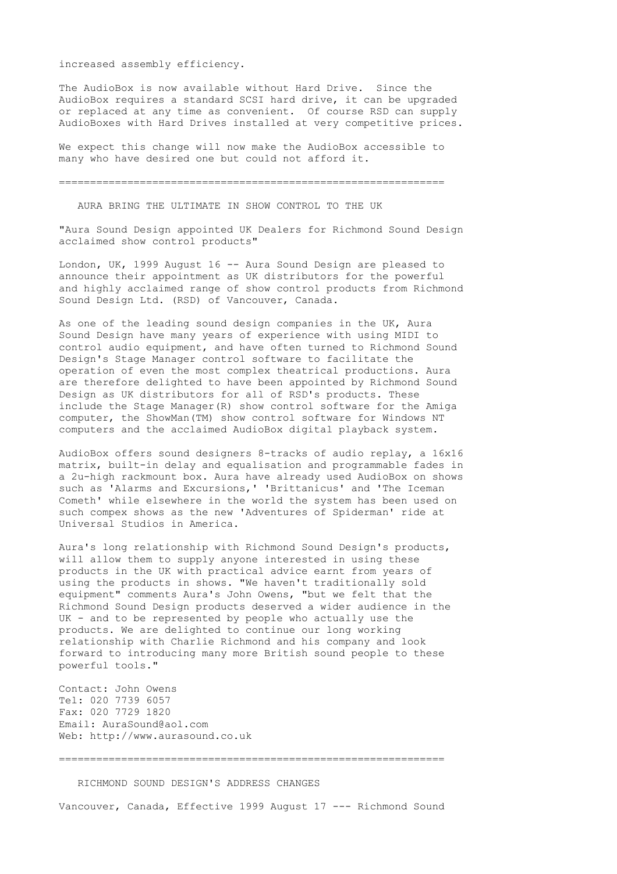increased assembly efficiency.

The AudioBox is now available without Hard Drive. Since the AudioBox requires a standard SCSI hard drive, it can be upgraded or replaced at any time as convenient. Of course RSD can supply AudioBoxes with Hard Drives installed at very competitive prices.

We expect this change will now make the AudioBox accessible to many who have desired one but could not afford it.

==============================================================

AURA BRING THE ULTIMATE IN SHOW CONTROL TO THE UK

"Aura Sound Design appointed UK Dealers for Richmond Sound Design acclaimed show control products"

London, UK, 1999 August 16 -- Aura Sound Design are pleased to announce their appointment as UK distributors for the powerful and highly acclaimed range of show control products from Richmond Sound Design Ltd. (RSD) of Vancouver, Canada.

As one of the leading sound design companies in the UK, Aura Sound Design have many years of experience with using MIDI to control audio equipment, and have often turned to Richmond Sound Design's Stage Manager control software to facilitate the operation of even the most complex theatrical productions. Aura are therefore delighted to have been appointed by Richmond Sound Design as UK distributors for all of RSD's products. These include the Stage Manager(R) show control software for the Amiga computer, the ShowMan(TM) show control software for Windows NT computers and the acclaimed AudioBox digital playback system.

AudioBox offers sound designers 8-tracks of audio replay, a 16x16 matrix, built-in delay and equalisation and programmable fades in a 2u-high rackmount box. Aura have already used AudioBox on shows such as 'Alarms and Excursions,' 'Brittanicus' and 'The Iceman Cometh' while elsewhere in the world the system has been used on such compex shows as the new 'Adventures of Spiderman' ride at Universal Studios in America.

Aura's long relationship with Richmond Sound Design's products, will allow them to supply anyone interested in using these products in the UK with practical advice earnt from years of using the products in shows. "We haven't traditionally sold equipment" comments Aura's John Owens, "but we felt that the Richmond Sound Design products deserved a wider audience in the UK - and to be represented by people who actually use the products. We are delighted to continue our long working relationship with Charlie Richmond and his company and look forward to introducing many more British sound people to these powerful tools."

Contact: John Owens Tel: 020 7739 6057 Fax: 020 7729 1820 Email: AuraSound@aol.com Web: http://www.aurasound.co.uk

==============================================================

RICHMOND SOUND DESIGN'S ADDRESS CHANGES

Vancouver, Canada, Effective 1999 August 17 --- Richmond Sound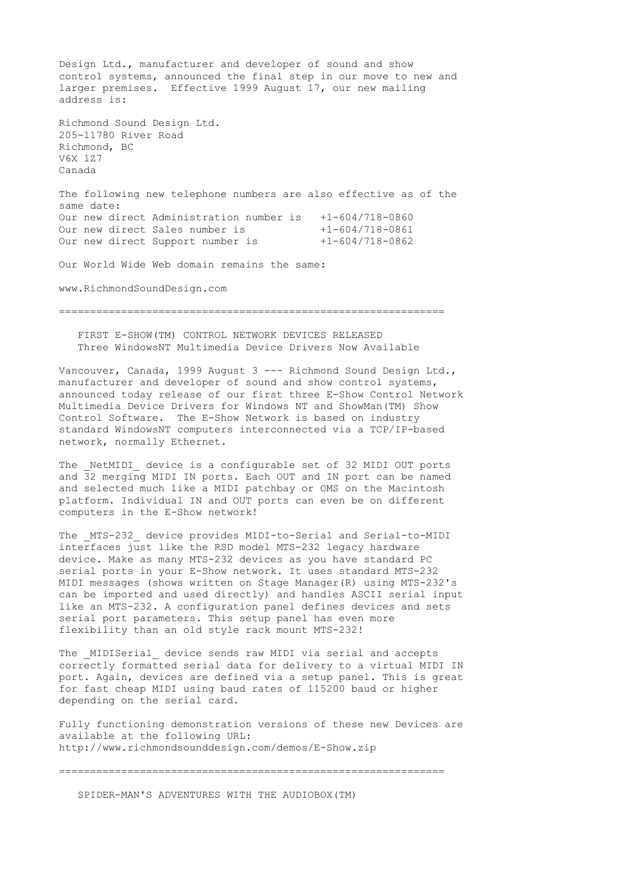Design Ltd., manufacturer and developer of sound and show control systems, announced the final step in our move to new and larger premises. Effective 1999 August 17, our new mailing address is: Richmond Sound Design Ltd. 205-11780 River Road Richmond, BC V6X 1Z7 Canada The following new telephone numbers are also effective as of the same date: Our new direct Administration number is  $+1-604/718-0860$ <br>Our new direct Sales number is  $+1-604/718-0861$ Our new direct Sales number is Our new direct Support number is +1-604/718-0862 Our World Wide Web domain remains the same:

www.RichmondSoundDesign.com

==============================================================

 FIRST E-SHOW(TM) CONTROL NETWORK DEVICES RELEASED Three WindowsNT Multimedia Device Drivers Now Available

Vancouver, Canada, 1999 August 3 --- Richmond Sound Design Ltd., manufacturer and developer of sound and show control systems, announced today release of our first three E-Show Control Network Multimedia Device Drivers for Windows NT and ShowMan(TM) Show Control Software. The E-Show Network is based on industry standard WindowsNT computers interconnected via a TCP/IP-based network, normally Ethernet.

The \_NetMIDI\_ device is a configurable set of 32 MIDI OUT ports and 32 merging MIDI IN ports. Each OUT and IN port can be named and selected much like a MIDI patchbay or OMS on the Macintosh platform. Individual IN and OUT ports can even be on different computers in the E-Show network!

The MTS-232 device provides MIDI-to-Serial and Serial-to-MIDI interfaces just like the RSD model MTS-232 legacy hardware device. Make as many MTS-232 devices as you have standard PC serial ports in your E-Show network. It uses standard MTS-232 MIDI messages (shows written on Stage Manager(R) using MTS-232's can be imported and used directly) and handles ASCII serial input like an MTS-232. A configuration panel defines devices and sets serial port parameters. This setup panel has even more flexibility than an old style rack mount MTS-232!

The MIDISerial device sends raw MIDI via serial and accepts correctly formatted serial data for delivery to a virtual MIDI IN port. Again, devices are defined via a setup panel. This is great for fast cheap MIDI using baud rates of 115200 baud or higher depending on the serial card.

Fully functioning demonstration versions of these new Devices are available at the following URL: http://www.richmondsounddesign.com/demos/E-Show.zip

==============================================================

SPIDER-MAN'S ADVENTURES WITH THE AUDIOBOX(TM)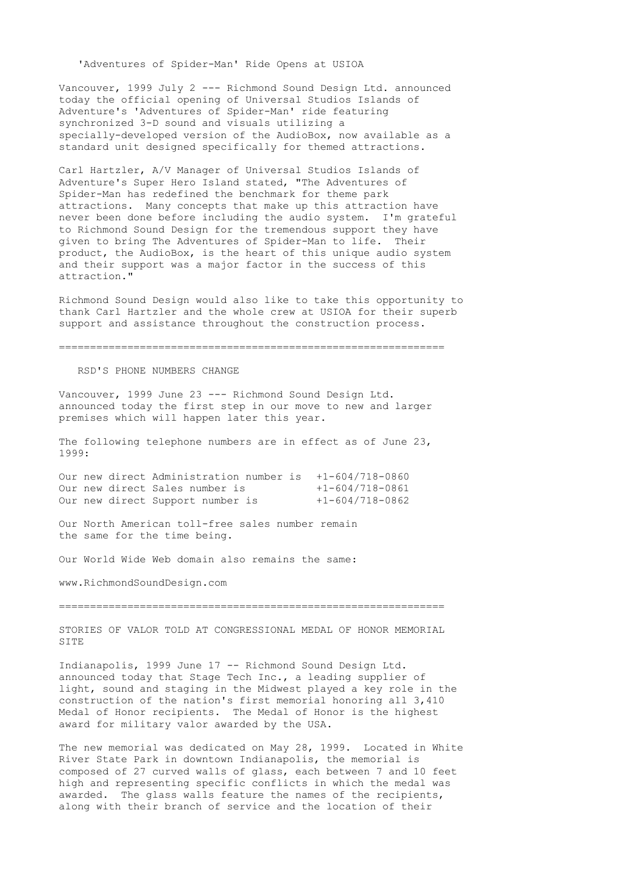'Adventures of Spider-Man' Ride Opens at USIOA

Vancouver, 1999 July 2 --- Richmond Sound Design Ltd. announced today the official opening of Universal Studios Islands of Adventure's 'Adventures of Spider-Man' ride featuring synchronized 3-D sound and visuals utilizing a specially-developed version of the AudioBox, now available as a standard unit designed specifically for themed attractions.

Carl Hartzler, A/V Manager of Universal Studios Islands of Adventure's Super Hero Island stated, "The Adventures of Spider-Man has redefined the benchmark for theme park attractions. Many concepts that make up this attraction have never been done before including the audio system. I'm grateful to Richmond Sound Design for the tremendous support they have given to bring The Adventures of Spider-Man to life. Their product, the AudioBox, is the heart of this unique audio system and their support was a major factor in the success of this attraction."

Richmond Sound Design would also like to take this opportunity to thank Carl Hartzler and the whole crew at USIOA for their superb support and assistance throughout the construction process.

==============================================================

RSD'S PHONE NUMBERS CHANGE

Vancouver, 1999 June 23 --- Richmond Sound Design Ltd. announced today the first step in our move to new and larger premises which will happen later this year.

The following telephone numbers are in effect as of June 23, 1999:

Our new direct Administration number is +1-604/718-0860 Our new direct Sales number is  $+1-604/718-0861$ Our new direct Support number is  $+1-604/718-0862$ 

Our North American toll-free sales number remain the same for the time being.

Our World Wide Web domain also remains the same:

www.RichmondSoundDesign.com

==============================================================

STORIES OF VALOR TOLD AT CONGRESSIONAL MEDAL OF HONOR MEMORIAL SITE

Indianapolis, 1999 June 17 -- Richmond Sound Design Ltd. announced today that Stage Tech Inc., a leading supplier of light, sound and staging in the Midwest played a key role in the construction of the nation's first memorial honoring all 3,410 Medal of Honor recipients. The Medal of Honor is the highest award for military valor awarded by the USA.

The new memorial was dedicated on May 28, 1999. Located in White River State Park in downtown Indianapolis, the memorial is composed of 27 curved walls of glass, each between 7 and 10 feet high and representing specific conflicts in which the medal was awarded. The glass walls feature the names of the recipients, along with their branch of service and the location of their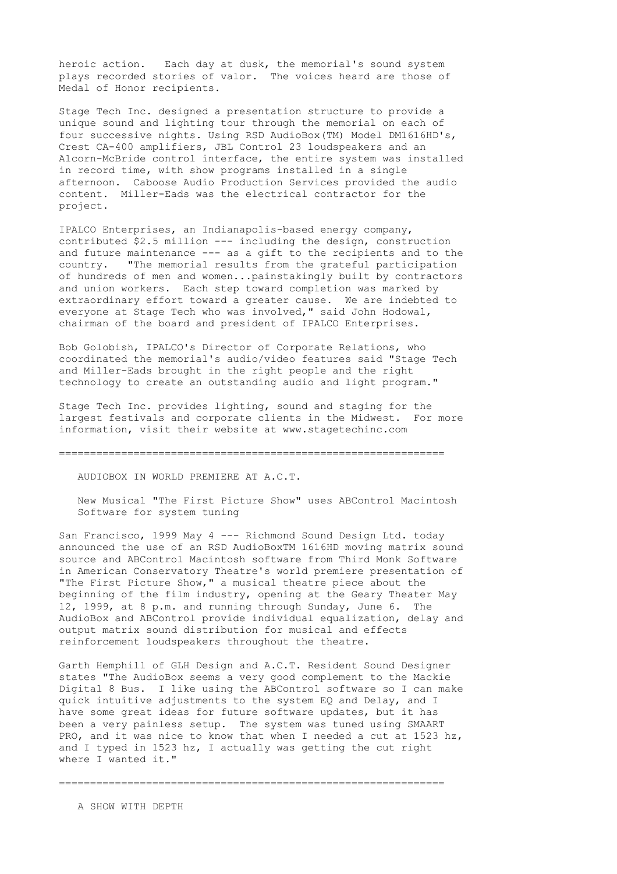heroic action. Each day at dusk, the memorial's sound system plays recorded stories of valor. The voices heard are those of Medal of Honor recipients.

Stage Tech Inc. designed a presentation structure to provide a unique sound and lighting tour through the memorial on each of four successive nights. Using RSD AudioBox(TM) Model DM1616HD's, Crest CA-400 amplifiers, JBL Control 23 loudspeakers and an Alcorn-McBride control interface, the entire system was installed in record time, with show programs installed in a single afternoon. Caboose Audio Production Services provided the audio content. Miller-Eads was the electrical contractor for the project.

IPALCO Enterprises, an Indianapolis-based energy company, contributed \$2.5 million --- including the design, construction and future maintenance --- as a gift to the recipients and to the country. "The memorial results from the grateful participation of hundreds of men and women...painstakingly built by contractors and union workers. Each step toward completion was marked by extraordinary effort toward a greater cause. We are indebted to everyone at Stage Tech who was involved," said John Hodowal, chairman of the board and president of IPALCO Enterprises.

Bob Golobish, IPALCO's Director of Corporate Relations, who coordinated the memorial's audio/video features said "Stage Tech and Miller-Eads brought in the right people and the right technology to create an outstanding audio and light program."

Stage Tech Inc. provides lighting, sound and staging for the largest festivals and corporate clients in the Midwest. For more information, visit their website at www.stagetechinc.com

==============================================================

AUDIOBOX IN WORLD PREMIERE AT A.C.T.

 New Musical "The First Picture Show" uses ABControl Macintosh Software for system tuning

San Francisco, 1999 May 4 --- Richmond Sound Design Ltd. today announced the use of an RSD AudioBoxTM 1616HD moving matrix sound source and ABControl Macintosh software from Third Monk Software in American Conservatory Theatre's world premiere presentation of "The First Picture Show," a musical theatre piece about the beginning of the film industry, opening at the Geary Theater May 12, 1999, at 8 p.m. and running through Sunday, June 6. The AudioBox and ABControl provide individual equalization, delay and output matrix sound distribution for musical and effects reinforcement loudspeakers throughout the theatre.

Garth Hemphill of GLH Design and A.C.T. Resident Sound Designer states "The AudioBox seems a very good complement to the Mackie Digital 8 Bus. I like using the ABControl software so I can make quick intuitive adjustments to the system EQ and Delay, and I have some great ideas for future software updates, but it has been a very painless setup. The system was tuned using SMAART PRO, and it was nice to know that when I needed a cut at 1523 hz, and I typed in 1523 hz, I actually was getting the cut right where I wanted it."

==============================================================

A SHOW WITH DEPTH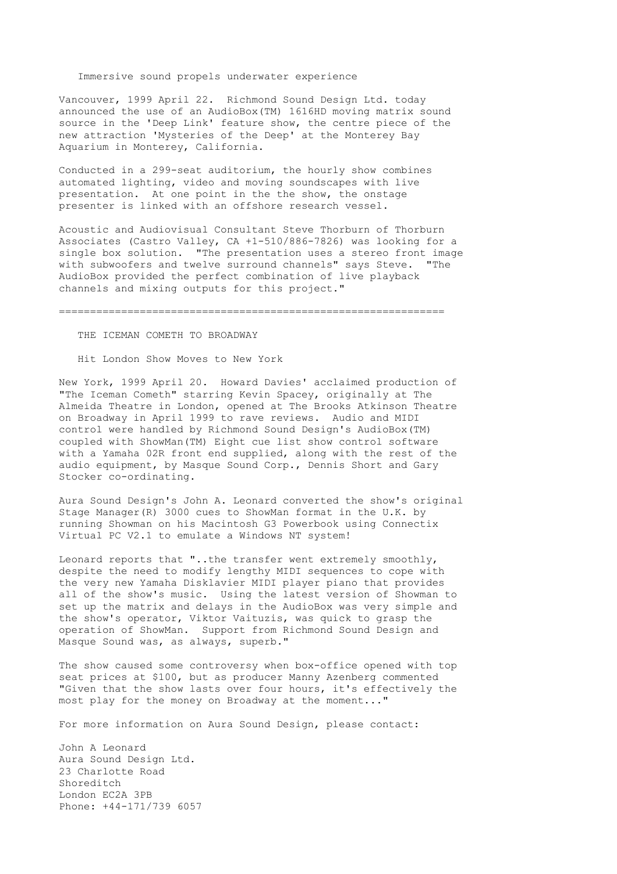# Immersive sound propels underwater experience

Vancouver, 1999 April 22. Richmond Sound Design Ltd. today announced the use of an AudioBox(TM) 1616HD moving matrix sound source in the 'Deep Link' feature show, the centre piece of the new attraction 'Mysteries of the Deep' at the Monterey Bay Aquarium in Monterey, California.

Conducted in a 299-seat auditorium, the hourly show combines automated lighting, video and moving soundscapes with live presentation. At one point in the the show, the onstage presenter is linked with an offshore research vessel.

Acoustic and Audiovisual Consultant Steve Thorburn of Thorburn Associates (Castro Valley, CA +1-510/886-7826) was looking for a single box solution. "The presentation uses a stereo front image with subwoofers and twelve surround channels" says Steve. "The AudioBox provided the perfect combination of live playback channels and mixing outputs for this project."

==============================================================

# THE ICEMAN COMETH TO BROADWAY

Hit London Show Moves to New York

New York, 1999 April 20. Howard Davies' acclaimed production of "The Iceman Cometh" starring Kevin Spacey, originally at The Almeida Theatre in London, opened at The Brooks Atkinson Theatre on Broadway in April 1999 to rave reviews. Audio and MIDI control were handled by Richmond Sound Design's AudioBox(TM) coupled with ShowMan(TM) Eight cue list show control software with a Yamaha 02R front end supplied, along with the rest of the audio equipment, by Masque Sound Corp., Dennis Short and Gary Stocker co-ordinating.

Aura Sound Design's John A. Leonard converted the show's original Stage Manager(R) 3000 cues to ShowMan format in the U.K. by running Showman on his Macintosh G3 Powerbook using Connectix Virtual PC V2.1 to emulate a Windows NT system!

Leonard reports that "..the transfer went extremely smoothly, despite the need to modify lengthy MIDI sequences to cope with the very new Yamaha Disklavier MIDI player piano that provides all of the show's music. Using the latest version of Showman to set up the matrix and delays in the AudioBox was very simple and the show's operator, Viktor Vaituzis, was quick to grasp the operation of ShowMan. Support from Richmond Sound Design and Masque Sound was, as always, superb."

The show caused some controversy when box-office opened with top seat prices at \$100, but as producer Manny Azenberg commented "Given that the show lasts over four hours, it's effectively the most play for the money on Broadway at the moment..."

For more information on Aura Sound Design, please contact:

John A Leonard Aura Sound Design Ltd. 23 Charlotte Road Shoreditch London EC2A 3PB Phone: +44-171/739 6057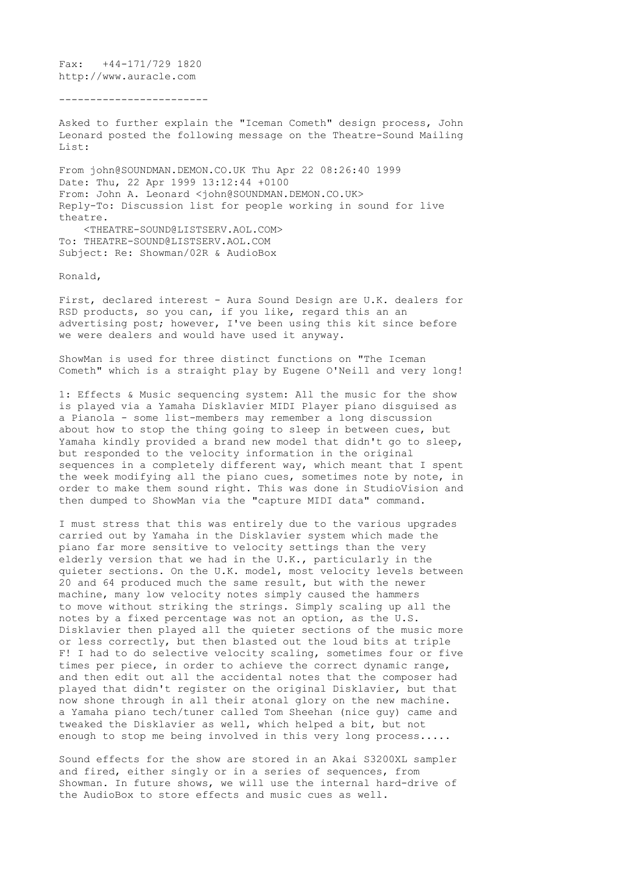Fax: +44-171/729 1820 http://www.auracle.com

------------------------

Asked to further explain the "Iceman Cometh" design process, John Leonard posted the following message on the Theatre-Sound Mailing List:

From john@SOUNDMAN.DEMON.CO.UK Thu Apr 22 08:26:40 1999 Date: Thu, 22 Apr 1999 13:12:44 +0100 From: John A. Leonard <john@SOUNDMAN.DEMON.CO.UK> Reply-To: Discussion list for people working in sound for live theatre. <THEATRE-SOUND@LISTSERV.AOL.COM> To: THEATRE-SOUND@LISTSERV.AOL.COM Subject: Re: Showman/02R & AudioBox

Ronald,

First, declared interest - Aura Sound Design are U.K. dealers for RSD products, so you can, if you like, regard this an an advertising post; however, I've been using this kit since before we were dealers and would have used it anyway.

ShowMan is used for three distinct functions on "The Iceman Cometh" which is a straight play by Eugene O'Neill and very long!

1: Effects & Music sequencing system: All the music for the show is played via a Yamaha Disklavier MIDI Player piano disguised as a Pianola - some list-members may remember a long discussion about how to stop the thing going to sleep in between cues, but Yamaha kindly provided a brand new model that didn't go to sleep, but responded to the velocity information in the original sequences in a completely different way, which meant that I spent the week modifying all the piano cues, sometimes note by note, in order to make them sound right. This was done in StudioVision and then dumped to ShowMan via the "capture MIDI data" command.

I must stress that this was entirely due to the various upgrades carried out by Yamaha in the Disklavier system which made the piano far more sensitive to velocity settings than the very elderly version that we had in the U.K., particularly in the quieter sections. On the U.K. model, most velocity levels between 20 and 64 produced much the same result, but with the newer machine, many low velocity notes simply caused the hammers to move without striking the strings. Simply scaling up all the notes by a fixed percentage was not an option, as the U.S. Disklavier then played all the quieter sections of the music more or less correctly, but then blasted out the loud bits at triple F! I had to do selective velocity scaling, sometimes four or five times per piece, in order to achieve the correct dynamic range, and then edit out all the accidental notes that the composer had played that didn't register on the original Disklavier, but that now shone through in all their atonal glory on the new machine. a Yamaha piano tech/tuner called Tom Sheehan (nice guy) came and tweaked the Disklavier as well, which helped a bit, but not enough to stop me being involved in this very long process.....

Sound effects for the show are stored in an Akai S3200XL sampler and fired, either singly or in a series of sequences, from Showman. In future shows, we will use the internal hard-drive of the AudioBox to store effects and music cues as well.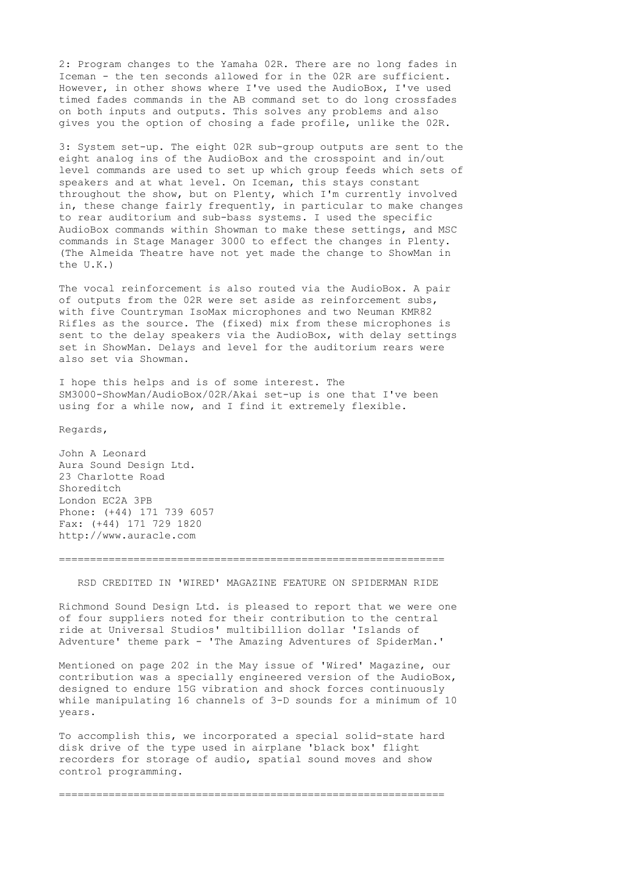2: Program changes to the Yamaha 02R. There are no long fades in Iceman - the ten seconds allowed for in the 02R are sufficient. However, in other shows where I've used the AudioBox, I've used timed fades commands in the AB command set to do long crossfades on both inputs and outputs. This solves any problems and also gives you the option of chosing a fade profile, unlike the 02R.

3: System set-up. The eight 02R sub-group outputs are sent to the eight analog ins of the AudioBox and the crosspoint and in/out level commands are used to set up which group feeds which sets of speakers and at what level. On Iceman, this stays constant throughout the show, but on Plenty, which I'm currently involved in, these change fairly frequently, in particular to make changes to rear auditorium and sub-bass systems. I used the specific AudioBox commands within Showman to make these settings, and MSC commands in Stage Manager 3000 to effect the changes in Plenty. (The Almeida Theatre have not yet made the change to ShowMan in the U.K.)

The vocal reinforcement is also routed via the AudioBox. A pair of outputs from the 02R were set aside as reinforcement subs, with five Countryman IsoMax microphones and two Neuman KMR82 Rifles as the source. The (fixed) mix from these microphones is sent to the delay speakers via the AudioBox, with delay settings set in ShowMan. Delays and level for the auditorium rears were also set via Showman.

I hope this helps and is of some interest. The SM3000-ShowMan/AudioBox/02R/Akai set-up is one that I've been using for a while now, and I find it extremely flexible.

Regards,

John A Leonard Aura Sound Design Ltd. 23 Charlotte Road Shoreditch London EC2A 3PB Phone: (+44) 171 739 6057 Fax: (+44) 171 729 1820 http://www.auracle.com

==============================================================

RSD CREDITED IN 'WIRED' MAGAZINE FEATURE ON SPIDERMAN RIDE

Richmond Sound Design Ltd. is pleased to report that we were one of four suppliers noted for their contribution to the central ride at Universal Studios' multibillion dollar 'Islands of Adventure' theme park - 'The Amazing Adventures of SpiderMan.'

Mentioned on page 202 in the May issue of 'Wired' Magazine, our contribution was a specially engineered version of the AudioBox, designed to endure 15G vibration and shock forces continuously while manipulating 16 channels of 3-D sounds for a minimum of 10 years.

To accomplish this, we incorporated a special solid-state hard disk drive of the type used in airplane 'black box' flight recorders for storage of audio, spatial sound moves and show control programming.

==============================================================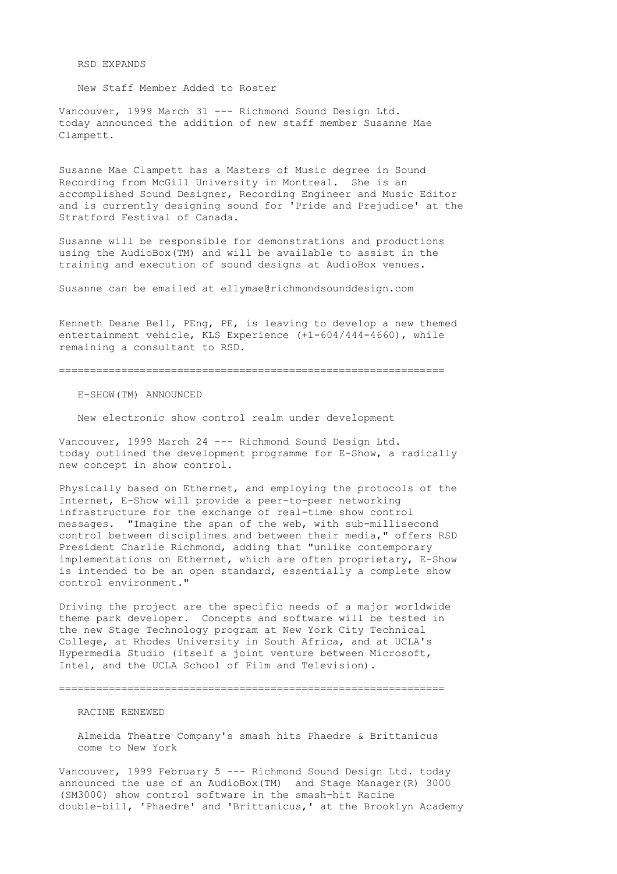RSD EXPANDS

New Staff Member Added to Roster

Vancouver, 1999 March 31 --- Richmond Sound Design Ltd. today announced the addition of new staff member Susanne Mae Clampett.

Susanne Mae Clampett has a Masters of Music degree in Sound Recording from McGill University in Montreal. She is an accomplished Sound Designer, Recording Engineer and Music Editor and is currently designing sound for 'Pride and Prejudice' at the Stratford Festival of Canada.

Susanne will be responsible for demonstrations and productions using the AudioBox(TM) and will be available to assist in the training and execution of sound designs at AudioBox venues.

Susanne can be emailed at ellymae@richmondsounddesign.com

Kenneth Deane Bell, PEng, PE, is leaving to develop a new themed entertainment vehicle, KLS Experience (+1-604/444-4660), while remaining a consultant to RSD.

==============================================================

E-SHOW(TM) ANNOUNCED

New electronic show control realm under development

Vancouver, 1999 March 24 --- Richmond Sound Design Ltd. today outlined the development programme for E-Show, a radically new concept in show control.

Physically based on Ethernet, and employing the protocols of the Internet, E-Show will provide a peer-to-peer networking infrastructure for the exchange of real-time show control messages. "Imagine the span of the web, with sub-millisecond control between disciplines and between their media," offers RSD President Charlie Richmond, adding that "unlike contemporary implementations on Ethernet, which are often proprietary, E-Show is intended to be an open standard, essentially a complete show control environment."

Driving the project are the specific needs of a major worldwide theme park developer. Concepts and software will be tested in the new Stage Technology program at New York City Technical College, at Rhodes University in South Africa, and at UCLA's Hypermedia Studio (itself a joint venture between Microsoft, Intel, and the UCLA School of Film and Television).

==============================================================

# RACINE RENEWED

 Almeida Theatre Company's smash hits Phaedre & Brittanicus come to New York

Vancouver, 1999 February 5 --- Richmond Sound Design Ltd. today announced the use of an AudioBox(TM) and Stage Manager(R) 3000 (SM3000) show control software in the smash-hit Racine double-bill, 'Phaedre' and 'Brittanicus,' at the Brooklyn Academy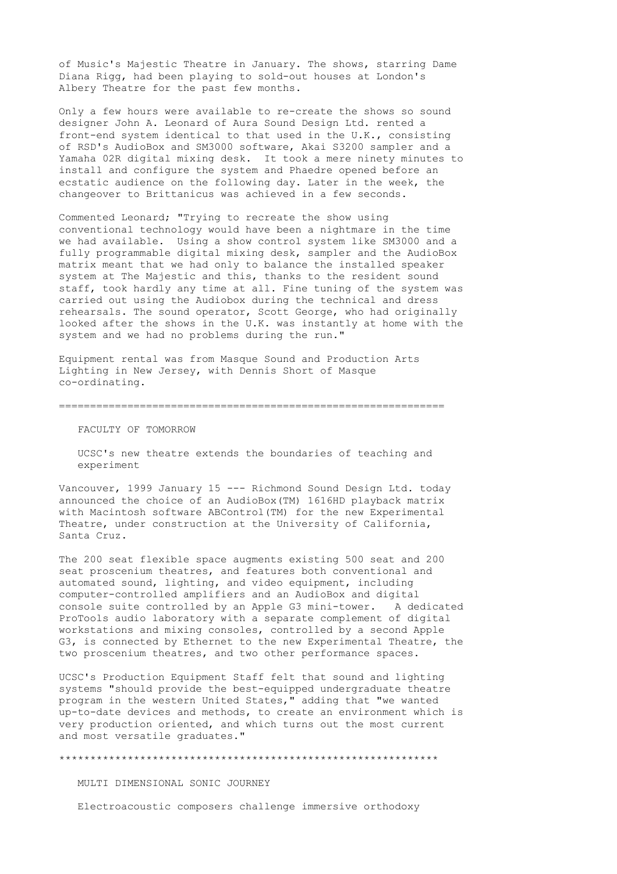of Music's Majestic Theatre in January. The shows, starring Dame Diana Rigg, had been playing to sold-out houses at London's Albery Theatre for the past few months.

Only a few hours were available to re-create the shows so sound designer John A. Leonard of Aura Sound Design Ltd. rented a front-end system identical to that used in the U.K., consisting of RSD's AudioBox and SM3000 software, Akai S3200 sampler and a Yamaha 02R digital mixing desk. It took a mere ninety minutes to install and configure the system and Phaedre opened before an ecstatic audience on the following day. Later in the week, the changeover to Brittanicus was achieved in a few seconds.

Commented Leonard; "Trying to recreate the show using conventional technology would have been a nightmare in the time we had available. Using a show control system like SM3000 and a fully programmable digital mixing desk, sampler and the AudioBox matrix meant that we had only to balance the installed speaker system at The Majestic and this, thanks to the resident sound staff, took hardly any time at all. Fine tuning of the system was carried out using the Audiobox during the technical and dress rehearsals. The sound operator, Scott George, who had originally looked after the shows in the U.K. was instantly at home with the system and we had no problems during the run."

Equipment rental was from Masque Sound and Production Arts Lighting in New Jersey, with Dennis Short of Masque co-ordinating.

==============================================================

FACULTY OF TOMORROW

 UCSC's new theatre extends the boundaries of teaching and experiment

Vancouver, 1999 January 15 --- Richmond Sound Design Ltd. today announced the choice of an AudioBox(TM) 1616HD playback matrix with Macintosh software ABControl(TM) for the new Experimental Theatre, under construction at the University of California, Santa Cruz.

The 200 seat flexible space augments existing 500 seat and 200 seat proscenium theatres, and features both conventional and automated sound, lighting, and video equipment, including computer-controlled amplifiers and an AudioBox and digital console suite controlled by an Apple G3 mini-tower. A dedicated ProTools audio laboratory with a separate complement of digital workstations and mixing consoles, controlled by a second Apple G3, is connected by Ethernet to the new Experimental Theatre, the two proscenium theatres, and two other performance spaces.

UCSC's Production Equipment Staff felt that sound and lighting systems "should provide the best-equipped undergraduate theatre program in the western United States," adding that "we wanted up-to-date devices and methods, to create an environment which is very production oriented, and which turns out the most current and most versatile graduates."

\*\*\*\*\*\*\*\*\*\*\*\*\*\*\*\*\*\*\*\*\*\*\*\*\*\*\*\*\*\*\*\*\*\*\*\*\*\*\*\*\*\*\*\*\*\*\*\*\*\*\*\*\*\*\*\*\*\*\*\*\*

MULTI DIMENSIONAL SONIC JOURNEY

Electroacoustic composers challenge immersive orthodoxy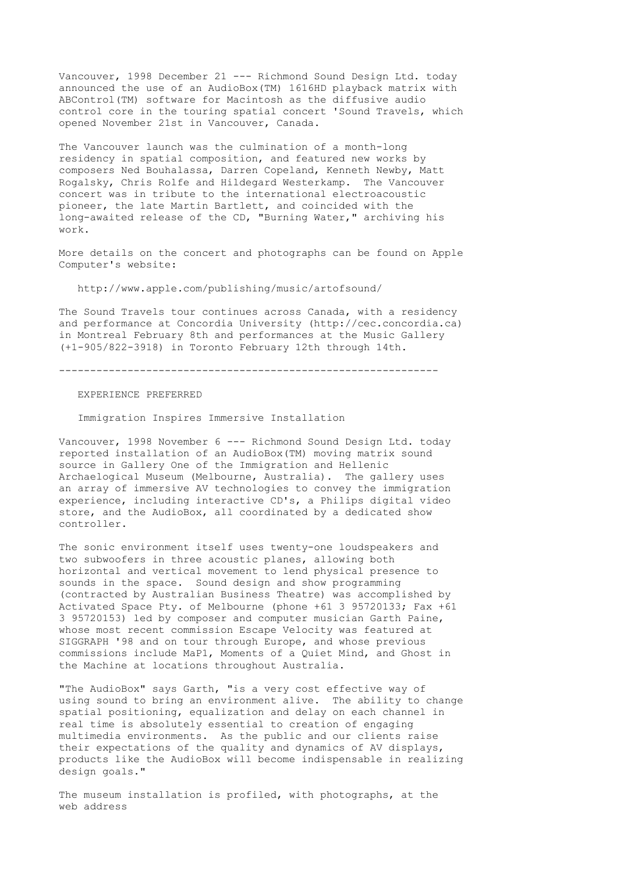Vancouver, 1998 December 21 --- Richmond Sound Design Ltd. today announced the use of an AudioBox(TM) 1616HD playback matrix with ABControl(TM) software for Macintosh as the diffusive audio control core in the touring spatial concert 'Sound Travels, which opened November 21st in Vancouver, Canada.

The Vancouver launch was the culmination of a month-long residency in spatial composition, and featured new works by composers Ned Bouhalassa, Darren Copeland, Kenneth Newby, Matt Rogalsky, Chris Rolfe and Hildegard Westerkamp. The Vancouver concert was in tribute to the international electroacoustic pioneer, the late Martin Bartlett, and coincided with the long-awaited release of the CD, "Burning Water," archiving his work.

More details on the concert and photographs can be found on Apple Computer's website:

http://www.apple.com/publishing/music/artofsound/

The Sound Travels tour continues across Canada, with a residency and performance at Concordia University (http://cec.concordia.ca) in Montreal February 8th and performances at the Music Gallery (+1-905/822-3918) in Toronto February 12th through 14th.

-------------------------------------------------------------

# EXPERIENCE PREFERRED

Immigration Inspires Immersive Installation

Vancouver, 1998 November 6 --- Richmond Sound Design Ltd. today reported installation of an AudioBox(TM) moving matrix sound source in Gallery One of the Immigration and Hellenic Archaelogical Museum (Melbourne, Australia). The gallery uses an array of immersive AV technologies to convey the immigration experience, including interactive CD's, a Philips digital video store, and the AudioBox, all coordinated by a dedicated show controller.

The sonic environment itself uses twenty-one loudspeakers and two subwoofers in three acoustic planes, allowing both horizontal and vertical movement to lend physical presence to sounds in the space. Sound design and show programming (contracted by Australian Business Theatre) was accomplished by Activated Space Pty. of Melbourne (phone +61 3 95720133; Fax +61 3 95720153) led by composer and computer musician Garth Paine, whose most recent commission Escape Velocity was featured at SIGGRAPH '98 and on tour through Europe, and whose previous commissions include MaP1, Moments of a Quiet Mind, and Ghost in the Machine at locations throughout Australia.

"The AudioBox" says Garth, "is a very cost effective way of using sound to bring an environment alive. The ability to change spatial positioning, equalization and delay on each channel in real time is absolutely essential to creation of engaging multimedia environments. As the public and our clients raise their expectations of the quality and dynamics of AV displays, products like the AudioBox will become indispensable in realizing design goals."

The museum installation is profiled, with photographs, at the web address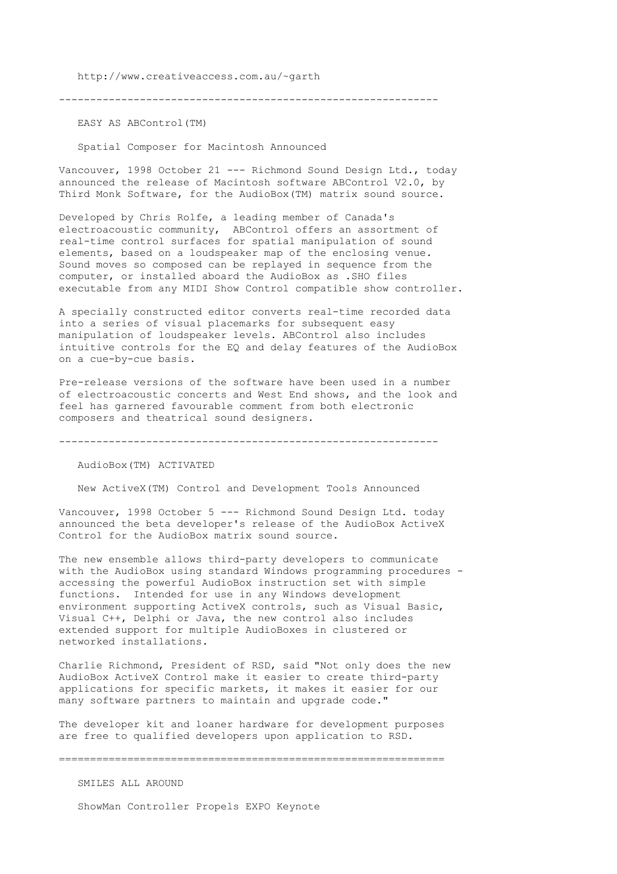http://www.creativeaccess.com.au/~garth

-------------------------------------------------------------

EASY AS ABControl(TM)

Spatial Composer for Macintosh Announced

Vancouver, 1998 October 21 --- Richmond Sound Design Ltd., today announced the release of Macintosh software ABControl V2.0, by Third Monk Software, for the AudioBox(TM) matrix sound source.

Developed by Chris Rolfe, a leading member of Canada's electroacoustic community, ABControl offers an assortment of real-time control surfaces for spatial manipulation of sound elements, based on a loudspeaker map of the enclosing venue. Sound moves so composed can be replayed in sequence from the computer, or installed aboard the AudioBox as .SHO files executable from any MIDI Show Control compatible show controller.

A specially constructed editor converts real-time recorded data into a series of visual placemarks for subsequent easy manipulation of loudspeaker levels. ABControl also includes intuitive controls for the EQ and delay features of the AudioBox on a cue-by-cue basis.

Pre-release versions of the software have been used in a number of electroacoustic concerts and West End shows, and the look and feel has garnered favourable comment from both electronic composers and theatrical sound designers.

-------------------------------------------------------------

AudioBox(TM) ACTIVATED

New ActiveX(TM) Control and Development Tools Announced

Vancouver, 1998 October 5 --- Richmond Sound Design Ltd. today announced the beta developer's release of the AudioBox ActiveX Control for the AudioBox matrix sound source.

The new ensemble allows third-party developers to communicate with the AudioBox using standard Windows programming procedures accessing the powerful AudioBox instruction set with simple functions. Intended for use in any Windows development environment supporting ActiveX controls, such as Visual Basic, Visual C++, Delphi or Java, the new control also includes extended support for multiple AudioBoxes in clustered or networked installations.

Charlie Richmond, President of RSD, said "Not only does the new AudioBox ActiveX Control make it easier to create third-party applications for specific markets, it makes it easier for our many software partners to maintain and upgrade code."

The developer kit and loaner hardware for development purposes are free to qualified developers upon application to RSD.

==============================================================

SMILES ALL AROUND

ShowMan Controller Propels EXPO Keynote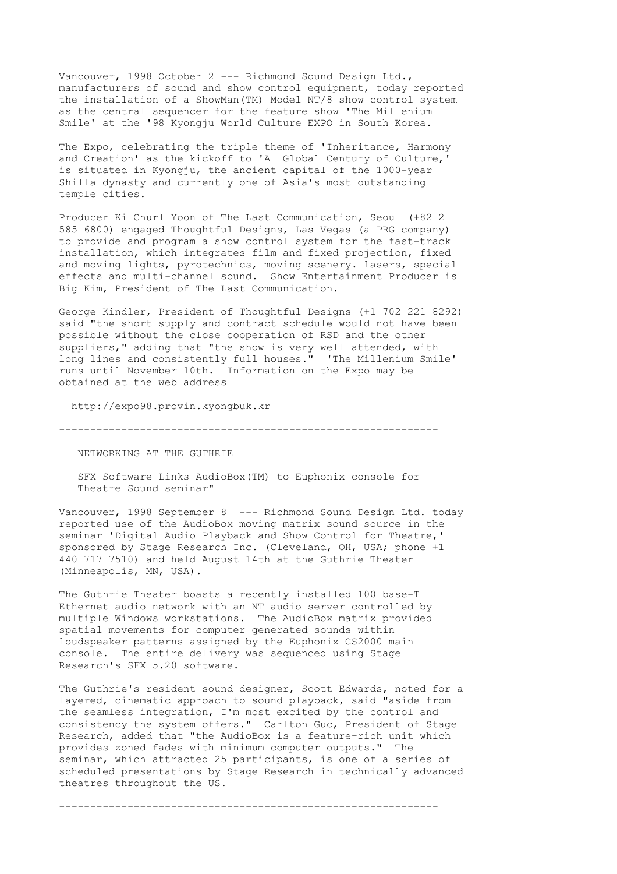Vancouver, 1998 October 2 --- Richmond Sound Design Ltd., manufacturers of sound and show control equipment, today reported the installation of a ShowMan(TM) Model NT/8 show control system as the central sequencer for the feature show 'The Millenium Smile' at the '98 Kyongju World Culture EXPO in South Korea.

The Expo, celebrating the triple theme of 'Inheritance, Harmony and Creation' as the kickoff to 'A Global Century of Culture,' is situated in Kyongju, the ancient capital of the 1000-year Shilla dynasty and currently one of Asia's most outstanding temple cities.

Producer Ki Churl Yoon of The Last Communication, Seoul (+82 2 585 6800) engaged Thoughtful Designs, Las Vegas (a PRG company) to provide and program a show control system for the fast-track installation, which integrates film and fixed projection, fixed and moving lights, pyrotechnics, moving scenery. lasers, special effects and multi-channel sound. Show Entertainment Producer is Big Kim, President of The Last Communication.

George Kindler, President of Thoughtful Designs (+1 702 221 8292) said "the short supply and contract schedule would not have been possible without the close cooperation of RSD and the other suppliers," adding that "the show is very well attended, with long lines and consistently full houses." 'The Millenium Smile' runs until November 10th. Information on the Expo may be obtained at the web address

http://expo98.provin.kyongbuk.kr

-------------------------------------------------------------

NETWORKING AT THE GUTHRIE

 SFX Software Links AudioBox(TM) to Euphonix console for Theatre Sound seminar"

Vancouver, 1998 September 8 --- Richmond Sound Design Ltd. today reported use of the AudioBox moving matrix sound source in the seminar 'Digital Audio Playback and Show Control for Theatre,' sponsored by Stage Research Inc. (Cleveland, OH, USA; phone +1 440 717 7510) and held August 14th at the Guthrie Theater (Minneapolis, MN, USA).

The Guthrie Theater boasts a recently installed 100 base-T Ethernet audio network with an NT audio server controlled by multiple Windows workstations. The AudioBox matrix provided spatial movements for computer generated sounds within loudspeaker patterns assigned by the Euphonix CS2000 main console. The entire delivery was sequenced using Stage Research's SFX 5.20 software.

The Guthrie's resident sound designer, Scott Edwards, noted for a layered, cinematic approach to sound playback, said "aside from the seamless integration, I'm most excited by the control and consistency the system offers." Carlton Guc, President of Stage Research, added that "the AudioBox is a feature-rich unit which provides zoned fades with minimum computer outputs." The seminar, which attracted 25 participants, is one of a series of scheduled presentations by Stage Research in technically advanced theatres throughout the US.

-------------------------------------------------------------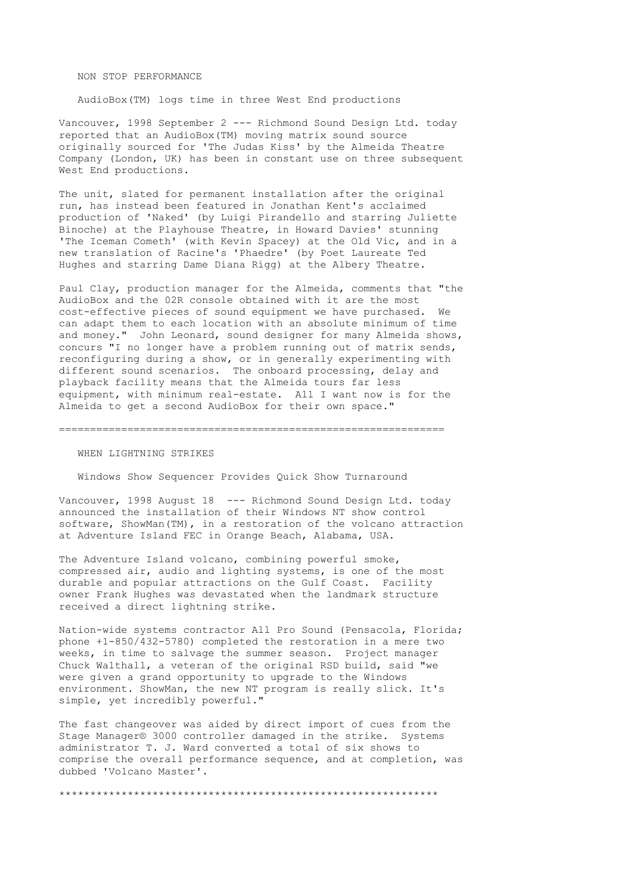### NON STOP PERFORMANCE

AudioBox(TM) logs time in three West End productions

Vancouver, 1998 September 2 --- Richmond Sound Design Ltd. today reported that an AudioBox(TM) moving matrix sound source originally sourced for 'The Judas Kiss' by the Almeida Theatre Company (London, UK) has been in constant use on three subsequent West End productions.

The unit, slated for permanent installation after the original run, has instead been featured in Jonathan Kent's acclaimed production of 'Naked' (by Luigi Pirandello and starring Juliette Binoche) at the Playhouse Theatre, in Howard Davies' stunning 'The Iceman Cometh' (with Kevin Spacey) at the Old Vic, and in a new translation of Racine's 'Phaedre' (by Poet Laureate Ted Hughes and starring Dame Diana Rigg) at the Albery Theatre.

Paul Clay, production manager for the Almeida, comments that "the AudioBox and the 02R console obtained with it are the most cost-effective pieces of sound equipment we have purchased. We can adapt them to each location with an absolute minimum of time and money." John Leonard, sound designer for many Almeida shows, concurs "I no longer have a problem running out of matrix sends, reconfiguring during a show, or in generally experimenting with different sound scenarios. The onboard processing, delay and playback facility means that the Almeida tours far less equipment, with minimum real-estate. All I want now is for the Almeida to get a second AudioBox for their own space."

#### ==============================================================

# WHEN LIGHTNING STRIKES

Windows Show Sequencer Provides Quick Show Turnaround

Vancouver, 1998 August 18 --- Richmond Sound Design Ltd. today announced the installation of their Windows NT show control software, ShowMan(TM), in a restoration of the volcano attraction at Adventure Island FEC in Orange Beach, Alabama, USA.

The Adventure Island volcano, combining powerful smoke, compressed air, audio and lighting systems, is one of the most durable and popular attractions on the Gulf Coast. Facility owner Frank Hughes was devastated when the landmark structure received a direct lightning strike.

Nation-wide systems contractor All Pro Sound (Pensacola, Florida; phone +1-850/432-5780) completed the restoration in a mere two weeks, in time to salvage the summer season. Project manager Chuck Walthall, a veteran of the original RSD build, said "we were given a grand opportunity to upgrade to the Windows environment. ShowMan, the new NT program is really slick. It's simple, yet incredibly powerful."

The fast changeover was aided by direct import of cues from the Stage Manager® 3000 controller damaged in the strike. Systems administrator T. J. Ward converted a total of six shows to comprise the overall performance sequence, and at completion, was dubbed 'Volcano Master'.

\*\*\*\*\*\*\*\*\*\*\*\*\*\*\*\*\*\*\*\*\*\*\*\*\*\*\*\*\*\*\*\*\*\*\*\*\*\*\*\*\*\*\*\*\*\*\*\*\*\*\*\*\*\*\*\*\*\*\*\*\*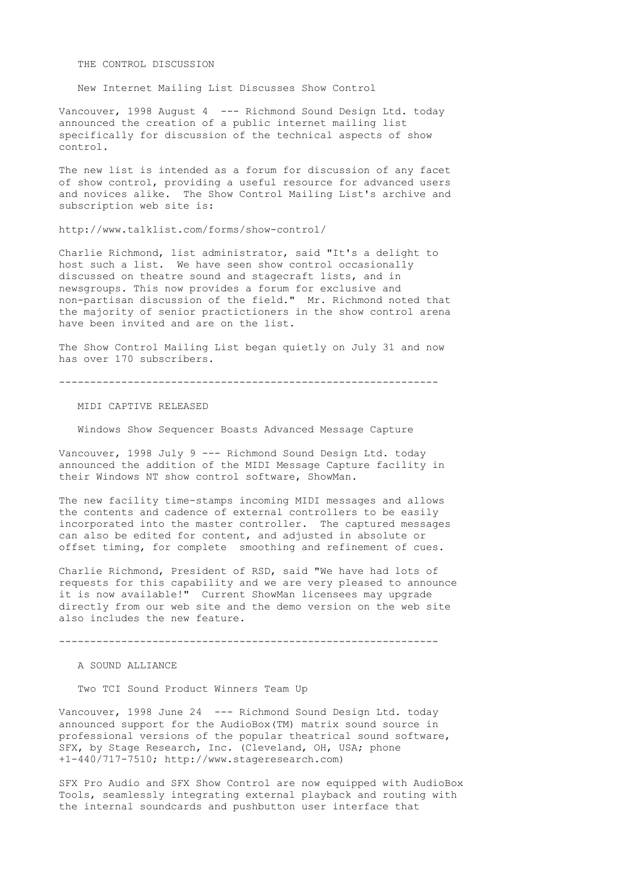THE CONTROL DISCUSSION

New Internet Mailing List Discusses Show Control

Vancouver, 1998 August 4 --- Richmond Sound Design Ltd. today announced the creation of a public internet mailing list specifically for discussion of the technical aspects of show control.

The new list is intended as a forum for discussion of any facet of show control, providing a useful resource for advanced users and novices alike. The Show Control Mailing List's archive and subscription web site is:

http://www.talklist.com/forms/show-control/

Charlie Richmond, list administrator, said "It's a delight to host such a list. We have seen show control occasionally discussed on theatre sound and stagecraft lists, and in newsgroups. This now provides a forum for exclusive and non-partisan discussion of the field." Mr. Richmond noted that the majority of senior practictioners in the show control arena have been invited and are on the list.

The Show Control Mailing List began quietly on July 31 and now has over 170 subscribers.

-------------------------------------------------------------

MIDI CAPTIVE RELEASED

Windows Show Sequencer Boasts Advanced Message Capture

Vancouver, 1998 July 9 --- Richmond Sound Design Ltd. today announced the addition of the MIDI Message Capture facility in their Windows NT show control software, ShowMan.

The new facility time-stamps incoming MIDI messages and allows the contents and cadence of external controllers to be easily incorporated into the master controller. The captured messages can also be edited for content, and adjusted in absolute or offset timing, for complete smoothing and refinement of cues.

Charlie Richmond, President of RSD, said "We have had lots of requests for this capability and we are very pleased to announce it is now available!" Current ShowMan licensees may upgrade directly from our web site and the demo version on the web site also includes the new feature.

-------------------------------------------------------------

A SOUND ALLIANCE

Two TCI Sound Product Winners Team Up

Vancouver, 1998 June 24 --- Richmond Sound Design Ltd. today announced support for the AudioBox(TM) matrix sound source in professional versions of the popular theatrical sound software, SFX, by Stage Research, Inc. (Cleveland, OH, USA; phone +1-440/717-7510; http://www.stageresearch.com)

SFX Pro Audio and SFX Show Control are now equipped with AudioBox Tools, seamlessly integrating external playback and routing with the internal soundcards and pushbutton user interface that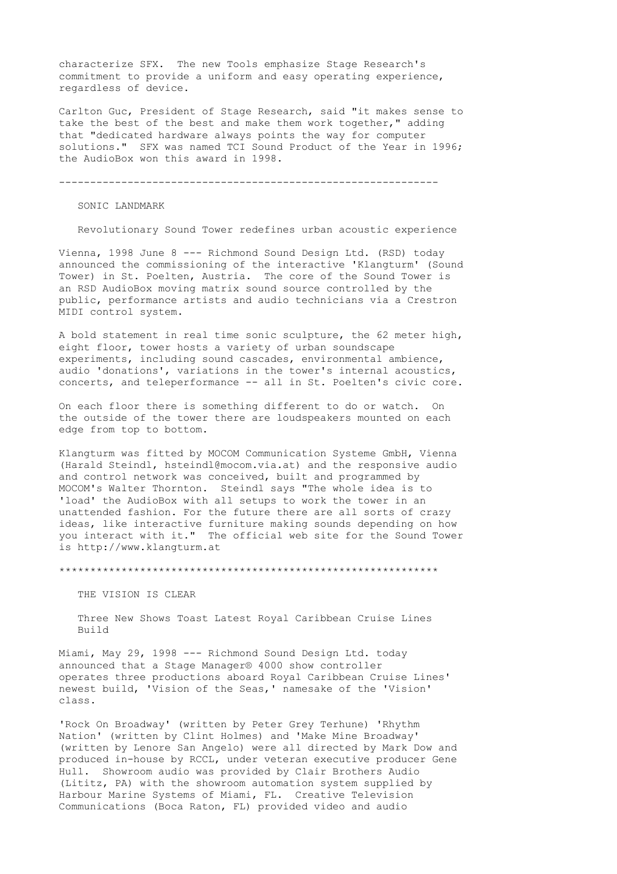characterize SFX. The new Tools emphasize Stage Research's commitment to provide a uniform and easy operating experience, regardless of device.

Carlton Guc, President of Stage Research, said "it makes sense to take the best of the best and make them work together," adding that "dedicated hardware always points the way for computer solutions." SFX was named TCI Sound Product of the Year in 1996; the AudioBox won this award in 1998.

-------------------------------------------------------------

SONIC LANDMARK

Revolutionary Sound Tower redefines urban acoustic experience

Vienna, 1998 June 8 --- Richmond Sound Design Ltd. (RSD) today announced the commissioning of the interactive 'Klangturm' (Sound Tower) in St. Poelten, Austria. The core of the Sound Tower is an RSD AudioBox moving matrix sound source controlled by the public, performance artists and audio technicians via a Crestron MIDI control system.

A bold statement in real time sonic sculpture, the 62 meter high, eight floor, tower hosts a variety of urban soundscape experiments, including sound cascades, environmental ambience, audio 'donations', variations in the tower's internal acoustics, concerts, and teleperformance -- all in St. Poelten's civic core.

On each floor there is something different to do or watch. On the outside of the tower there are loudspeakers mounted on each edge from top to bottom.

Klangturm was fitted by MOCOM Communication Systeme GmbH, Vienna (Harald Steindl, hsteindl@mocom.via.at) and the responsive audio and control network was conceived, built and programmed by MOCOM's Walter Thornton. Steindl says "The whole idea is to 'load' the AudioBox with all setups to work the tower in an unattended fashion. For the future there are all sorts of crazy ideas, like interactive furniture making sounds depending on how you interact with it." The official web site for the Sound Tower is http://www.klangturm.at

\*\*\*\*\*\*\*\*\*\*\*\*\*\*\*\*\*\*\*\*\*\*\*\*\*\*\*\*\*\*\*\*\*\*\*\*\*\*\*\*\*\*\*\*\*\*\*\*\*\*\*\*\*\*\*\*\*\*\*\*\*

THE VISION IS CLEAR

 Three New Shows Toast Latest Royal Caribbean Cruise Lines Build

Miami, May 29, 1998 --- Richmond Sound Design Ltd. today announced that a Stage Manager® 4000 show controller operates three productions aboard Royal Caribbean Cruise Lines' newest build, 'Vision of the Seas,' namesake of the 'Vision' class.

'Rock On Broadway' (written by Peter Grey Terhune) 'Rhythm Nation' (written by Clint Holmes) and 'Make Mine Broadway' (written by Lenore San Angelo) were all directed by Mark Dow and produced in-house by RCCL, under veteran executive producer Gene Hull. Showroom audio was provided by Clair Brothers Audio (Lititz, PA) with the showroom automation system supplied by Harbour Marine Systems of Miami, FL. Creative Television Communications (Boca Raton, FL) provided video and audio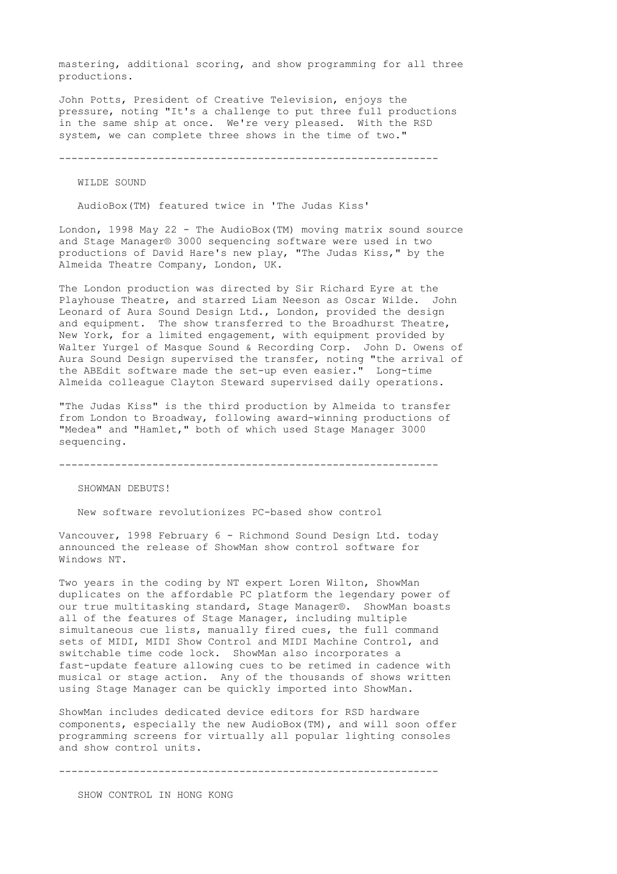mastering, additional scoring, and show programming for all three productions.

John Potts, President of Creative Television, enjoys the pressure, noting "It's a challenge to put three full productions in the same ship at once. We're very pleased. With the RSD system, we can complete three shows in the time of two."

-------------------------------------------------------------

WILDE SOUND

AudioBox(TM) featured twice in 'The Judas Kiss'

London, 1998 May 22 - The AudioBox(TM) moving matrix sound source and Stage Manager® 3000 sequencing software were used in two productions of David Hare's new play, "The Judas Kiss," by the Almeida Theatre Company, London, UK.

The London production was directed by Sir Richard Eyre at the Playhouse Theatre, and starred Liam Neeson as Oscar Wilde. John Leonard of Aura Sound Design Ltd., London, provided the design and equipment. The show transferred to the Broadhurst Theatre, New York, for a limited engagement, with equipment provided by Walter Yurgel of Masque Sound & Recording Corp. John D. Owens of Aura Sound Design supervised the transfer, noting "the arrival of the ABEdit software made the set-up even easier." Long-time Almeida colleague Clayton Steward supervised daily operations.

"The Judas Kiss" is the third production by Almeida to transfer from London to Broadway, following award-winning productions of "Medea" and "Hamlet," both of which used Stage Manager 3000 sequencing.

-------------------------------------------------------------

SHOWMAN DEBUTS!

New software revolutionizes PC-based show control

Vancouver, 1998 February 6 - Richmond Sound Design Ltd. today announced the release of ShowMan show control software for Windows NT.

Two years in the coding by NT expert Loren Wilton, ShowMan duplicates on the affordable PC platform the legendary power of our true multitasking standard, Stage Manager®. ShowMan boasts all of the features of Stage Manager, including multiple simultaneous cue lists, manually fired cues, the full command sets of MIDI, MIDI Show Control and MIDI Machine Control, and switchable time code lock. ShowMan also incorporates a fast-update feature allowing cues to be retimed in cadence with musical or stage action. Any of the thousands of shows written using Stage Manager can be quickly imported into ShowMan.

ShowMan includes dedicated device editors for RSD hardware components, especially the new AudioBox(TM), and will soon offer programming screens for virtually all popular lighting consoles and show control units.

-------------------------------------------------------------

SHOW CONTROL IN HONG KONG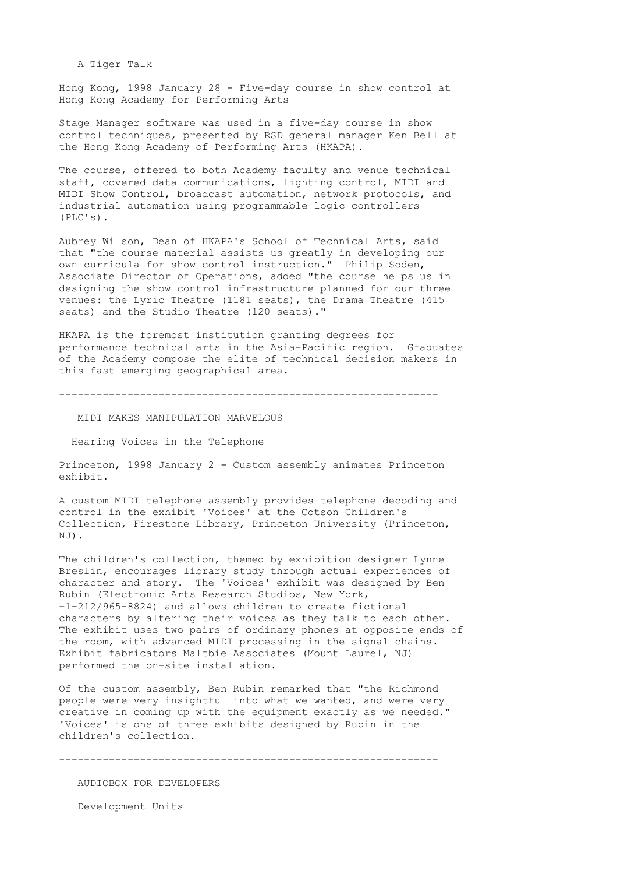A Tiger Talk

Hong Kong, 1998 January 28 - Five-day course in show control at Hong Kong Academy for Performing Arts

Stage Manager software was used in a five-day course in show control techniques, presented by RSD general manager Ken Bell at the Hong Kong Academy of Performing Arts (HKAPA).

The course, offered to both Academy faculty and venue technical staff, covered data communications, lighting control, MIDI and MIDI Show Control, broadcast automation, network protocols, and industrial automation using programmable logic controllers (PLC's).

Aubrey Wilson, Dean of HKAPA's School of Technical Arts, said that "the course material assists us greatly in developing our own curricula for show control instruction." Philip Soden, Associate Director of Operations, added "the course helps us in designing the show control infrastructure planned for our three venues: the Lyric Theatre (1181 seats), the Drama Theatre (415 seats) and the Studio Theatre (120 seats)."

HKAPA is the foremost institution granting degrees for performance technical arts in the Asia-Pacific region. Graduates of the Academy compose the elite of technical decision makers in this fast emerging geographical area.

-------------------------------------------------------------

MIDI MAKES MANIPULATION MARVELOUS

Hearing Voices in the Telephone

Princeton, 1998 January 2 - Custom assembly animates Princeton exhibit.

A custom MIDI telephone assembly provides telephone decoding and control in the exhibit 'Voices' at the Cotson Children's Collection, Firestone Library, Princeton University (Princeton, NJ).

The children's collection, themed by exhibition designer Lynne Breslin, encourages library study through actual experiences of character and story. The 'Voices' exhibit was designed by Ben Rubin (Electronic Arts Research Studios, New York, +1-212/965-8824) and allows children to create fictional characters by altering their voices as they talk to each other. The exhibit uses two pairs of ordinary phones at opposite ends of the room, with advanced MIDI processing in the signal chains. Exhibit fabricators Maltbie Associates (Mount Laurel, NJ) performed the on-site installation.

Of the custom assembly, Ben Rubin remarked that "the Richmond people were very insightful into what we wanted, and were very creative in coming up with the equipment exactly as we needed." 'Voices' is one of three exhibits designed by Rubin in the children's collection.

-------------------------------------------------------------

AUDIOBOX FOR DEVELOPERS

Development Units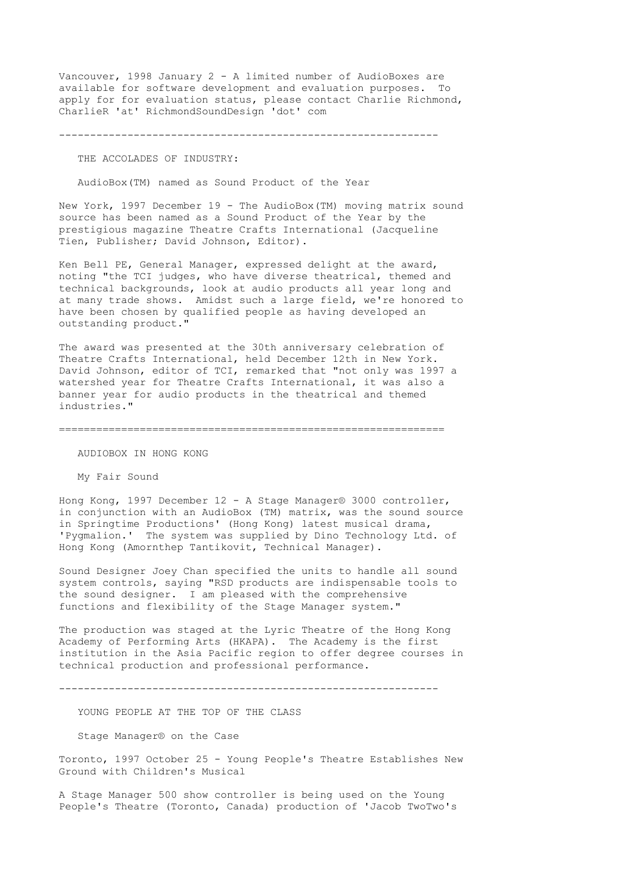Vancouver, 1998 January 2 - A limited number of AudioBoxes are available for software development and evaluation purposes. To apply for for evaluation status, please contact Charlie Richmond, CharlieR 'at' RichmondSoundDesign 'dot' com

-------------------------------------------------------------

### THE ACCOLADES OF INDUSTRY:

AudioBox(TM) named as Sound Product of the Year

New York, 1997 December 19 - The AudioBox(TM) moving matrix sound source has been named as a Sound Product of the Year by the prestigious magazine Theatre Crafts International (Jacqueline Tien, Publisher; David Johnson, Editor).

Ken Bell PE, General Manager, expressed delight at the award, noting "the TCI judges, who have diverse theatrical, themed and technical backgrounds, look at audio products all year long and at many trade shows. Amidst such a large field, we're honored to have been chosen by qualified people as having developed an outstanding product."

The award was presented at the 30th anniversary celebration of Theatre Crafts International, held December 12th in New York. David Johnson, editor of TCI, remarked that "not only was 1997 a watershed year for Theatre Crafts International, it was also a banner year for audio products in the theatrical and themed industries."

==============================================================

AUDIOBOX IN HONG KONG

My Fair Sound

Hong Kong, 1997 December 12 - A Stage Manager® 3000 controller, in conjunction with an AudioBox (TM) matrix, was the sound source in Springtime Productions' (Hong Kong) latest musical drama, 'Pygmalion.' The system was supplied by Dino Technology Ltd. of Hong Kong (Amornthep Tantikovit, Technical Manager).

Sound Designer Joey Chan specified the units to handle all sound system controls, saying "RSD products are indispensable tools to the sound designer. I am pleased with the comprehensive functions and flexibility of the Stage Manager system."

The production was staged at the Lyric Theatre of the Hong Kong Academy of Performing Arts (HKAPA). The Academy is the first institution in the Asia Pacific region to offer degree courses in technical production and professional performance.

-------------------------------------------------------------

YOUNG PEOPLE AT THE TOP OF THE CLASS

Stage Manager® on the Case

Toronto, 1997 October 25 - Young People's Theatre Establishes New Ground with Children's Musical

A Stage Manager 500 show controller is being used on the Young People's Theatre (Toronto, Canada) production of 'Jacob TwoTwo's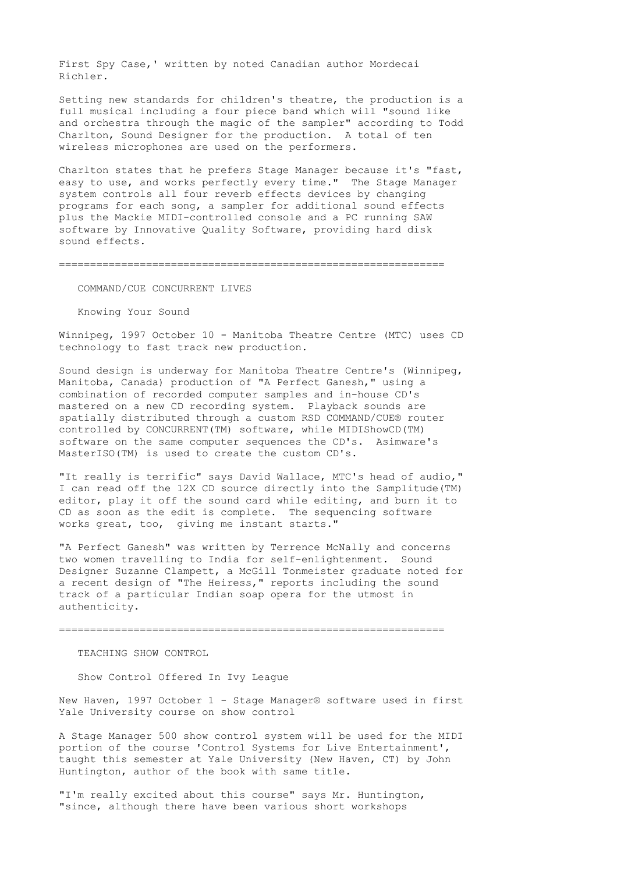First Spy Case,' written by noted Canadian author Mordecai Richler.

Setting new standards for children's theatre, the production is a full musical including a four piece band which will "sound like and orchestra through the magic of the sampler" according to Todd Charlton, Sound Designer for the production. A total of ten wireless microphones are used on the performers.

Charlton states that he prefers Stage Manager because it's "fast, easy to use, and works perfectly every time." The Stage Manager system controls all four reverb effects devices by changing programs for each song, a sampler for additional sound effects plus the Mackie MIDI-controlled console and a PC running SAW software by Innovative Quality Software, providing hard disk sound effects.

==============================================================

COMMAND/CUE CONCURRENT LIVES

Knowing Your Sound

Winnipeg, 1997 October 10 - Manitoba Theatre Centre (MTC) uses CD technology to fast track new production.

Sound design is underway for Manitoba Theatre Centre's (Winnipeg, Manitoba, Canada) production of "A Perfect Ganesh," using a combination of recorded computer samples and in-house CD's mastered on a new CD recording system. Playback sounds are spatially distributed through a custom RSD COMMAND/CUE® router controlled by CONCURRENT(TM) software, while MIDIShowCD(TM) software on the same computer sequences the CD's. Asimware's MasterISO(TM) is used to create the custom CD's.

"It really is terrific" says David Wallace, MTC's head of audio," I can read off the 12X CD source directly into the Samplitude(TM) editor, play it off the sound card while editing, and burn it to CD as soon as the edit is complete. The sequencing software works great, too, giving me instant starts."

"A Perfect Ganesh" was written by Terrence McNally and concerns two women travelling to India for self-enlightenment. Sound Designer Suzanne Clampett, a McGill Tonmeister graduate noted for a recent design of "The Heiress," reports including the sound track of a particular Indian soap opera for the utmost in authenticity.

==============================================================

## TEACHING SHOW CONTROL

Show Control Offered In Ivy League

New Haven, 1997 October 1 - Stage Manager® software used in first Yale University course on show control

A Stage Manager 500 show control system will be used for the MIDI portion of the course 'Control Systems for Live Entertainment', taught this semester at Yale University (New Haven, CT) by John Huntington, author of the book with same title.

"I'm really excited about this course" says Mr. Huntington, "since, although there have been various short workshops